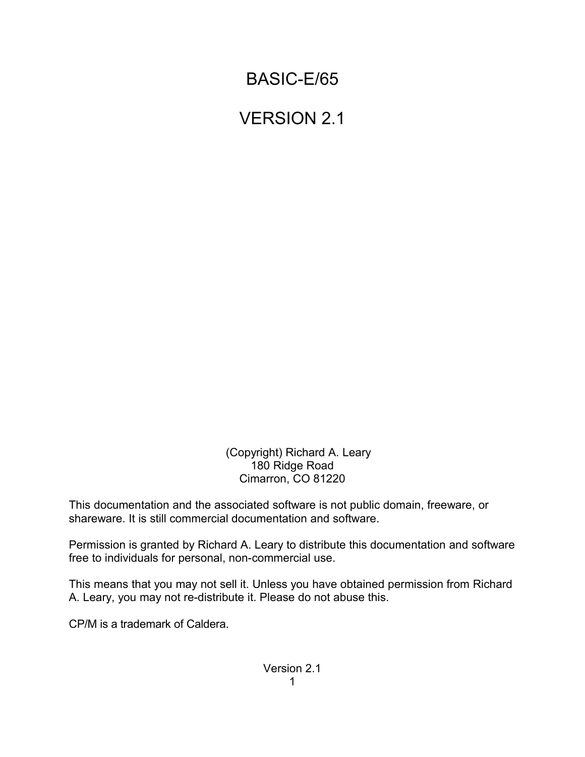# BASIC-E/65

# VERSION 2.1

 (Copyright) Richard A. Leary 180 Ridge Road Cimarron, CO 81220

This documentation and the associated software is not public domain, freeware, or shareware. It is still commercial documentation and software.

Permission is granted by Richard A. Leary to distribute this documentation and software free to individuals for personal, non-commercial use.

This means that you may not sell it. Unless you have obtained permission from Richard A. Leary, you may not re-distribute it. Please do not abuse this.

CP/M is a trademark of Caldera.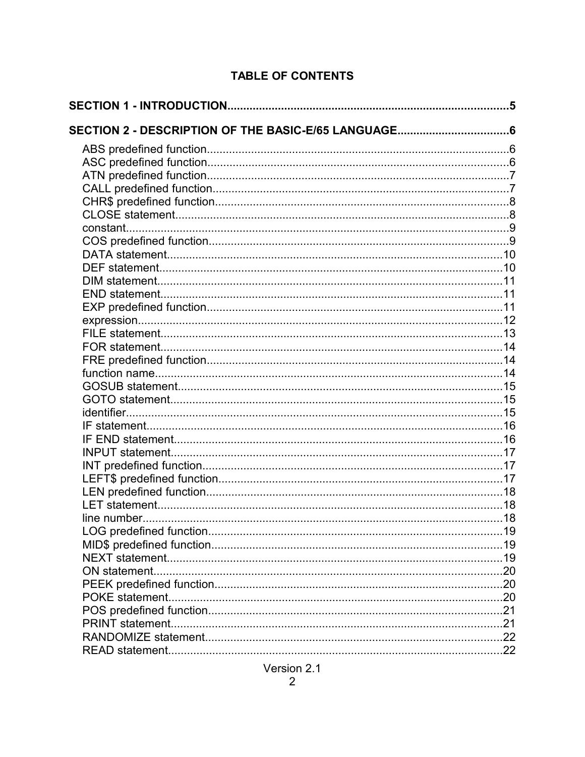# **TABLE OF CONTENTS**

| SECTION 2 - DESCRIPTION OF THE BASIC-E/65 LANGUAGE6 |  |
|-----------------------------------------------------|--|
|                                                     |  |
|                                                     |  |
|                                                     |  |
|                                                     |  |
|                                                     |  |
|                                                     |  |
|                                                     |  |
|                                                     |  |
|                                                     |  |
|                                                     |  |
|                                                     |  |
|                                                     |  |
|                                                     |  |
|                                                     |  |
|                                                     |  |
|                                                     |  |
|                                                     |  |
|                                                     |  |
|                                                     |  |
|                                                     |  |
|                                                     |  |
|                                                     |  |
|                                                     |  |
|                                                     |  |
|                                                     |  |
|                                                     |  |
|                                                     |  |
|                                                     |  |
|                                                     |  |
|                                                     |  |
|                                                     |  |
|                                                     |  |
|                                                     |  |
|                                                     |  |
|                                                     |  |
|                                                     |  |
|                                                     |  |
|                                                     |  |
|                                                     |  |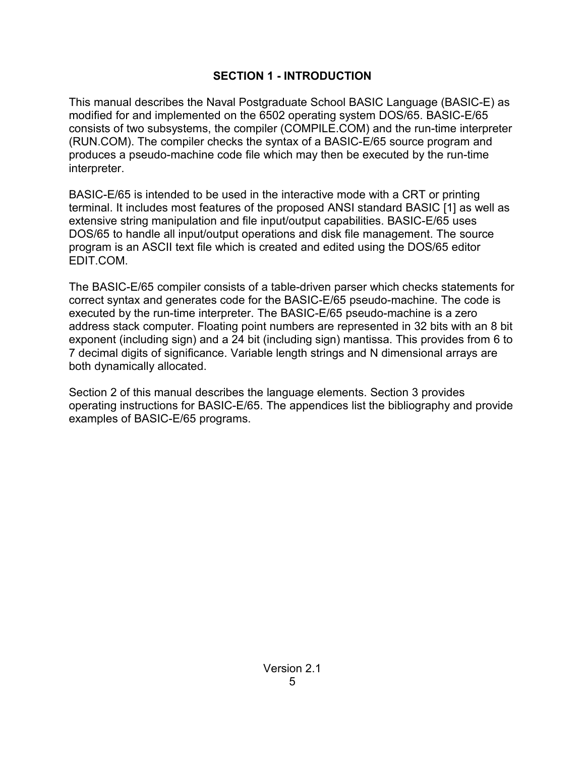### **SECTION 1 - INTRODUCTION**

This manual describes the Naval Postgraduate School BASIC Language (BASIC-E) as modified for and implemented on the 6502 operating system DOS/65. BASIC-E/65 consists of two subsystems, the compiler (COMPILE.COM) and the run-time interpreter (RUN.COM). The compiler checks the syntax of a BASIC-E/65 source program and produces a pseudo-machine code file which may then be executed by the run-time interpreter.

BASIC-E/65 is intended to be used in the interactive mode with a CRT or printing terminal. It includes most features of the proposed ANSI standard BASIC [1] as well as extensive string manipulation and file input/output capabilities. BASIC-E/65 uses DOS/65 to handle all input/output operations and disk file management. The source program is an ASCII text file which is created and edited using the DOS/65 editor EDIT.COM.

The BASIC-E/65 compiler consists of a table-driven parser which checks statements for correct syntax and generates code for the BASIC-E/65 pseudo-machine. The code is executed by the run-time interpreter. The BASIC-E/65 pseudo-machine is a zero address stack computer. Floating point numbers are represented in 32 bits with an 8 bit exponent (including sign) and a 24 bit (including sign) mantissa. This provides from 6 to 7 decimal digits of significance. Variable length strings and N dimensional arrays are both dynamically allocated.

Section 2 of this manual describes the language elements. Section 3 provides operating instructions for BASIC-E/65. The appendices list the bibliography and provide examples of BASIC-E/65 programs.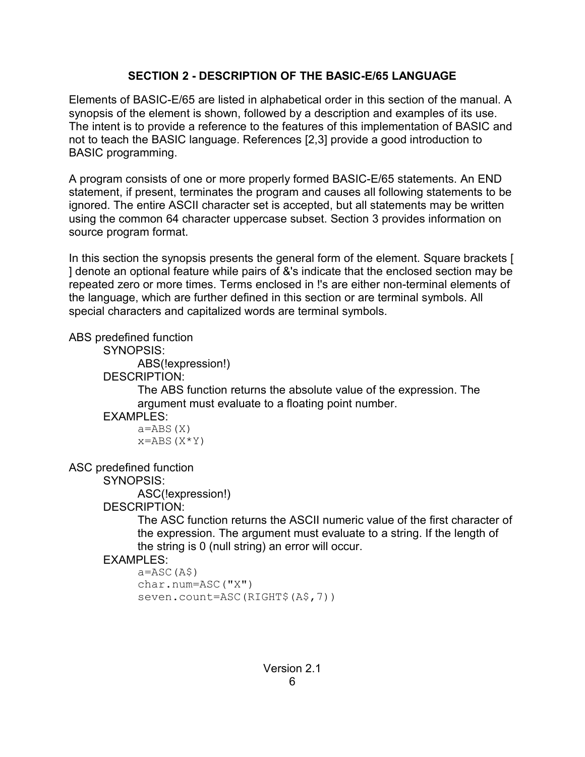### **SECTION 2 - DESCRIPTION OF THE BASIC-E/65 LANGUAGE**

Elements of BASIC-E/65 are listed in alphabetical order in this section of the manual. A synopsis of the element is shown, followed by a description and examples of its use. The intent is to provide a reference to the features of this implementation of BASIC and not to teach the BASIC language. References [2,3] provide a good introduction to BASIC programming.

A program consists of one or more properly formed BASIC-E/65 statements. An END statement, if present, terminates the program and causes all following statements to be ignored. The entire ASCII character set is accepted, but all statements may be written using the common 64 character uppercase subset. Section 3 provides information on source program format.

In this section the synopsis presents the general form of the element. Square brackets [ ] denote an optional feature while pairs of &'s indicate that the enclosed section may be repeated zero or more times. Terms enclosed in !'s are either non-terminal elements of the language, which are further defined in this section or are terminal symbols. All special characters and capitalized words are terminal symbols.

ABS predefined function

SYNOPSIS:

ABS(!expression!)

DESCRIPTION:

The ABS function returns the absolute value of the expression. The argument must evaluate to a floating point number.

### EXAMPLES:

 $a = ABS(X)$  $x = ABS(X*Y)$ 

ASC predefined function

SYNOPSIS:

ASC(!expression!)

DESCRIPTION:

The ASC function returns the ASCII numeric value of the first character of the expression. The argument must evaluate to a string. If the length of the string is 0 (null string) an error will occur.

### **FXAMPLES:**

```
a = ASC(A$)char.num=ASC("X")
seven.count=ASC(RIGHT$(A$,7))
```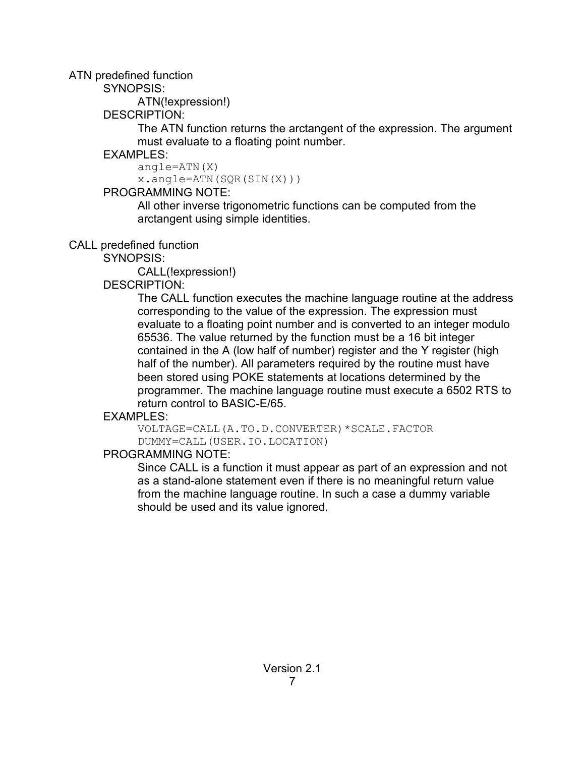ATN predefined function

SYNOPSIS:

ATN(!expression!)

DESCRIPTION:

The ATN function returns the arctangent of the expression. The argument must evaluate to a floating point number.

# **FXAMPLES:**

angle=ATN(X)

x.angle=ATN(SQR(SIN(X)))

# PROGRAMMING NOTE:

All other inverse trigonometric functions can be computed from the arctangent using simple identities.

# CALL predefined function

SYNOPSIS:

CALL(!expression!)

# DESCRIPTION:

The CALL function executes the machine language routine at the address corresponding to the value of the expression. The expression must evaluate to a floating point number and is converted to an integer modulo 65536. The value returned by the function must be a 16 bit integer contained in the A (low half of number) register and the Y register (high half of the number). All parameters required by the routine must have been stored using POKE statements at locations determined by the programmer. The machine language routine must execute a 6502 RTS to return control to BASIC-E/65.

# EXAMPLES:

VOLTAGE=CALL(A.TO.D.CONVERTER)\*SCALE.FACTOR DUMMY=CALL(USER.IO.LOCATION)

# PROGRAMMING NOTE:

Since CALL is a function it must appear as part of an expression and not as a stand-alone statement even if there is no meaningful return value from the machine language routine. In such a case a dummy variable should be used and its value ignored.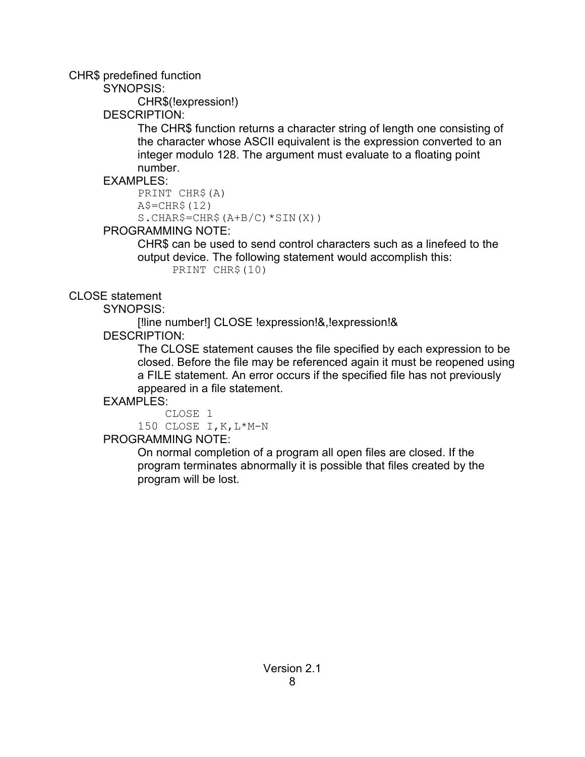### CHR\$ predefined function

SYNOPSIS:

CHR\$(!expression!)

DESCRIPTION:

The CHR\$ function returns a character string of length one consisting of the character whose ASCII equivalent is the expression converted to an integer modulo 128. The argument must evaluate to a floating point number.

# EXAMPLES:

```
PRINT CHR$(A)
A\ = CHR\ (12)
S.CHAR$=CHR$(A+B/C)*SIM(X)
```
# PROGRAMMING NOTE:

CHR\$ can be used to send control characters such as a linefeed to the output device. The following statement would accomplish this: PRINT CHR\$(10)

# CLOSE statement

SYNOPSIS:

[!line number!] CLOSE !expression!&,!expression!&

DESCRIPTION:

The CLOSE statement causes the file specified by each expression to be closed. Before the file may be referenced again it must be reopened using a FILE statement. An error occurs if the specified file has not previously appeared in a file statement.

# EXAMPLES:

 CLOSE 1 150 CLOSE I,K,L\*M-N

PROGRAMMING NOTE:

On normal completion of a program all open files are closed. If the program terminates abnormally it is possible that files created by the program will be lost.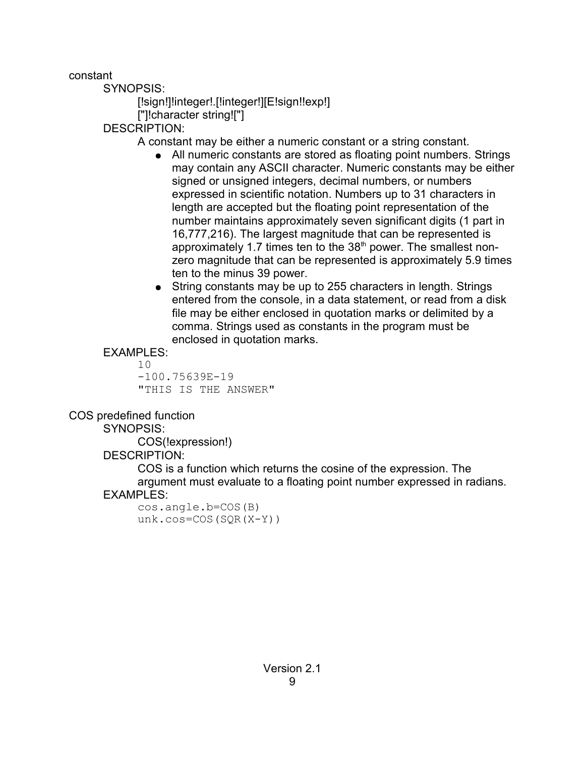constant

SYNOPSIS:

[!sign!]!integer!.[!integer!][E!sign!!exp!] ["]!character string!["]

DESCRIPTION:

A constant may be either a numeric constant or a string constant.

- All numeric constants are stored as floating point numbers. Strings may contain any ASCII character. Numeric constants may be either signed or unsigned integers, decimal numbers, or numbers expressed in scientific notation. Numbers up to 31 characters in length are accepted but the floating point representation of the number maintains approximately seven significant digits (1 part in 16,777,216). The largest magnitude that can be represented is approximately 1.7 times ten to the 38<sup>th</sup> power. The smallest nonzero magnitude that can be represented is approximately 5.9 times ten to the minus 39 power.
- String constants may be up to 255 characters in length. Strings entered from the console, in a data statement, or read from a disk file may be either enclosed in quotation marks or delimited by a comma. Strings used as constants in the program must be enclosed in quotation marks.

# EXAMPLES:

10 -100.75639E-19 "THIS IS THE ANSWER"

COS predefined function

SYNOPSIS:

COS(!expression!)

DESCRIPTION:

COS is a function which returns the cosine of the expression. The argument must evaluate to a floating point number expressed in radians.

### EXAMPLES:

cos.angle.b=COS(B) unk.cos=COS(SQR(X-Y))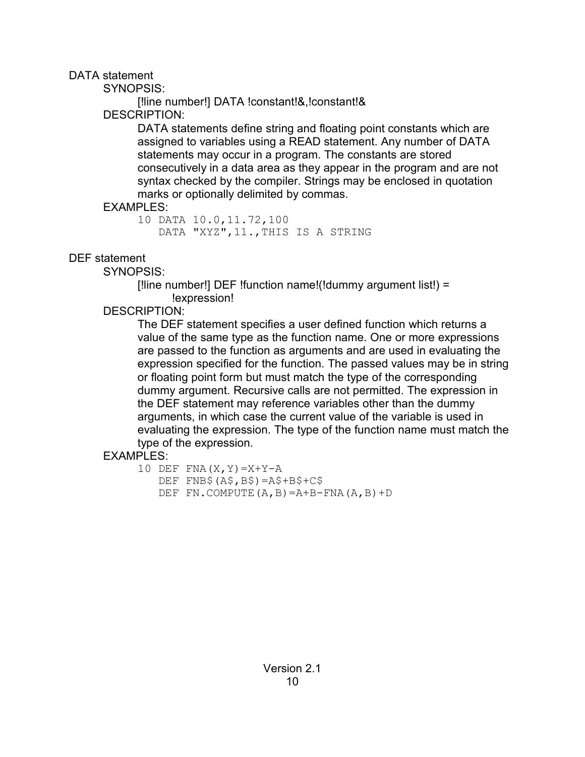DATA statement

SYNOPSIS:

[!line number!] DATA !constant!&,!constant!& DESCRIPTION:

DATA statements define string and floating point constants which are assigned to variables using a READ statement. Any number of DATA statements may occur in a program. The constants are stored consecutively in a data area as they appear in the program and are not syntax checked by the compiler. Strings may be enclosed in quotation marks or optionally delimited by commas.

### EXAMPLES:

10 DATA 10.0,11.72,100 DATA "XYZ",11.,THIS IS A STRING

# DEF statement

SYNOPSIS:

[!line number!] DEF !function name!(!dummy argument list!) = !expression!

# DESCRIPTION:

The DEF statement specifies a user defined function which returns a value of the same type as the function name. One or more expressions are passed to the function as arguments and are used in evaluating the expression specified for the function. The passed values may be in string or floating point form but must match the type of the corresponding dummy argument. Recursive calls are not permitted. The expression in the DEF statement may reference variables other than the dummy arguments, in which case the current value of the variable is used in evaluating the expression. The type of the function name must match the type of the expression.

# EXAMPLES:

```
10 DEF FNA(X, Y) = X+Y-A DEF FNB$(A$,B$)=A$+B$+C$
   DEF FN.COMPUTE(A, B) = A + B - FNA(A, B) + D
```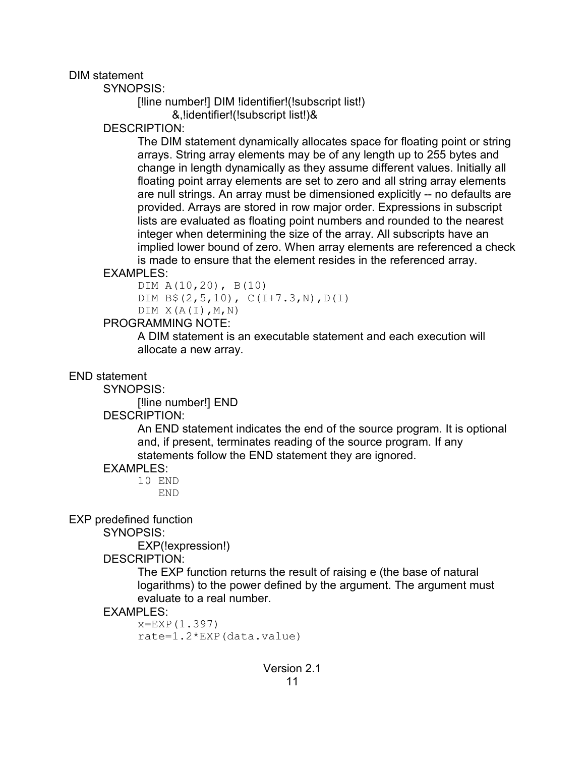DIM statement

SYNOPSIS:

```
[!line number!] DIM !identifier!(!subscript list!) 
       &,!identifier!(!subscript list!)&
```
DESCRIPTION:

The DIM statement dynamically allocates space for floating point or string arrays. String array elements may be of any length up to 255 bytes and change in length dynamically as they assume different values. Initially all floating point array elements are set to zero and all string array elements are null strings. An array must be dimensioned explicitly -- no defaults are provided. Arrays are stored in row major order. Expressions in subscript lists are evaluated as floating point numbers and rounded to the nearest integer when determining the size of the array. All subscripts have an implied lower bound of zero. When array elements are referenced a check is made to ensure that the element resides in the referenced array.

EXAMPLES:

DIM A(10,20), B(10) DIM B\$(2,5,10), C(I+7.3,N),D(I)  $DIM X(A(I), M, N)$ 

### PROGRAMMING NOTE:

A DIM statement is an executable statement and each execution will allocate a new array.

END statement

SYNOPSIS:

[!line number!] END

### DESCRIPTION:

An END statement indicates the end of the source program. It is optional and, if present, terminates reading of the source program. If any statements follow the END statement they are ignored.

### EXAMPLES:

10 END END

EXP predefined function

SYNOPSIS:

EXP(!expression!)

DESCRIPTION:

The EXP function returns the result of raising e (the base of natural logarithms) to the power defined by the argument. The argument must evaluate to a real number.

### EXAMPLES:

x=EXP(1.397) rate=1.2\*EXP(data.value)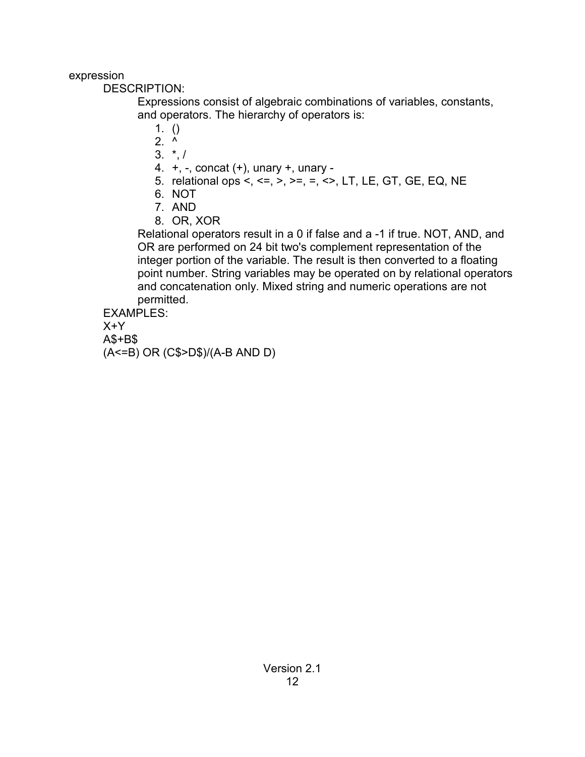expression

DESCRIPTION:

Expressions consist of algebraic combinations of variables, constants, and operators. The hierarchy of operators is:

- 1. ()
- $2.$  ^
- $3. * 1$
- 4. +, -, concat (+), unary +, unary -
- 5. relational ops <, <=, >, >=, =, <>, LT, LE, GT, GE, EQ, NE
- 6. NOT
- 7. AND
- 8. OR, XOR

Relational operators result in a 0 if false and a -1 if true. NOT, AND, and OR are performed on 24 bit two's complement representation of the integer portion of the variable. The result is then converted to a floating point number. String variables may be operated on by relational operators and concatenation only. Mixed string and numeric operations are not permitted.

EXAMPLES:

X+Y

A\$+B\$

(A<=B) OR (C\$>D\$)/(A-B AND D)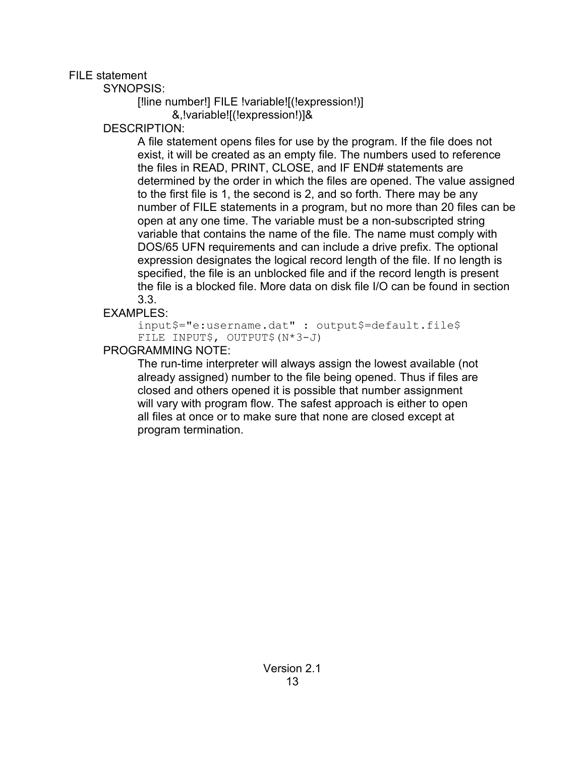FILE statement

SYNOPSIS:

[!line number!] FILE !variable![(!expression!)] &,!variable![(!expression!)]&

DESCRIPTION:

A file statement opens files for use by the program. If the file does not exist, it will be created as an empty file. The numbers used to reference the files in READ, PRINT, CLOSE, and IF END# statements are determined by the order in which the files are opened. The value assigned to the first file is 1, the second is 2, and so forth. There may be any number of FILE statements in a program, but no more than 20 files can be open at any one time. The variable must be a non-subscripted string variable that contains the name of the file. The name must comply with DOS/65 UFN requirements and can include a drive prefix. The optional expression designates the logical record length of the file. If no length is specified, the file is an unblocked file and if the record length is present the file is a blocked file. More data on disk file I/O can be found in section 3.3.

# EXAMPLES:

input\$="e:username.dat" : output\$=default.file\$ FILE INPUT\$, OUTPUT\$(N\*3-J)

# PROGRAMMING NOTE:

The run-time interpreter will always assign the lowest available (not already assigned) number to the file being opened. Thus if files are closed and others opened it is possible that number assignment will vary with program flow. The safest approach is either to open all files at once or to make sure that none are closed except at program termination.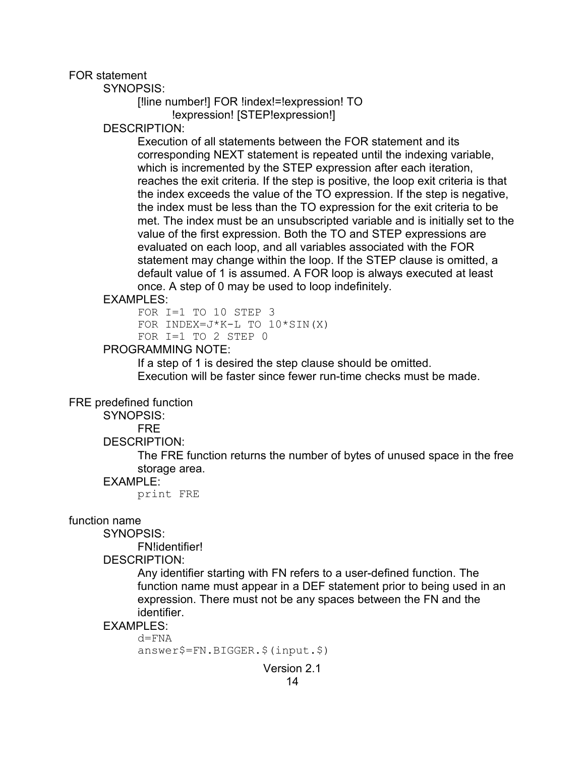FOR statement

SYNOPSIS:

```
[!line number!] FOR !index!=!expression! TO
      !expression! [STEP!expression!]
```
DESCRIPTION:

Execution of all statements between the FOR statement and its corresponding NEXT statement is repeated until the indexing variable, which is incremented by the STEP expression after each iteration, reaches the exit criteria. If the step is positive, the loop exit criteria is that the index exceeds the value of the TO expression. If the step is negative, the index must be less than the TO expression for the exit criteria to be met. The index must be an unsubscripted variable and is initially set to the value of the first expression. Both the TO and STEP expressions are evaluated on each loop, and all variables associated with the FOR statement may change within the loop. If the STEP clause is omitted, a default value of 1 is assumed. A FOR loop is always executed at least once. A step of 0 may be used to loop indefinitely.

#### EXAMPLES:

FOR I=1 TO 10 STEP 3 FOR INDEX= $J*K-L$  TO  $10*SIM(X)$ FOR I=1 TO 2 STEP 0

#### PROGRAMMING NOTE:

If a step of 1 is desired the step clause should be omitted. Execution will be faster since fewer run-time checks must be made.

#### FRE predefined function

SYNOPSIS:

FRE

#### DESCRIPTION:

The FRE function returns the number of bytes of unused space in the free storage area.

#### EXAMPLE:

print FRE

#### function name

SYNOPSIS:

FN!identifier!

DESCRIPTION:

Any identifier starting with FN refers to a user-defined function. The function name must appear in a DEF statement prior to being used in an expression. There must not be any spaces between the FN and the identifier.

#### EXAMPLES:

 $d = FNA$ answer\$=FN.BIGGER.\$(input.\$)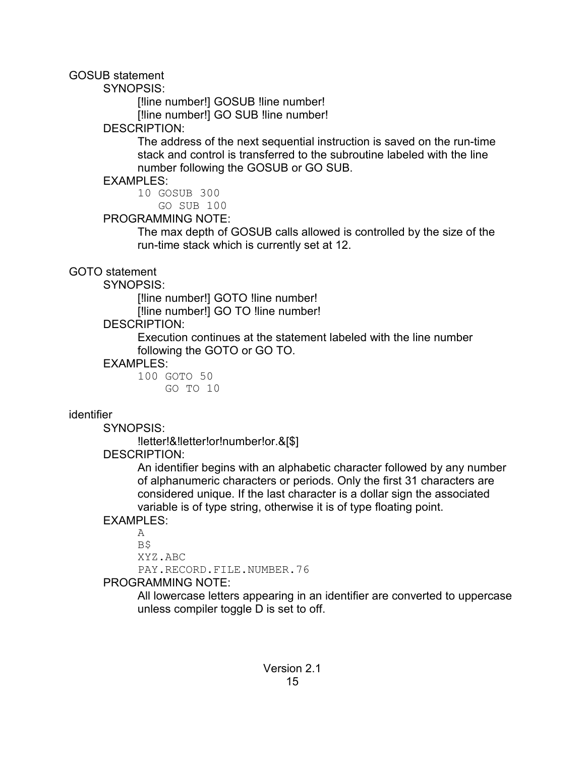GOSUB statement

SYNOPSIS:

[!line number!] GOSUB !line number! [!line number!] GO SUB !line number!

DESCRIPTION:

The address of the next sequential instruction is saved on the run-time stack and control is transferred to the subroutine labeled with the line number following the GOSUB or GO SUB.

EXAMPLES:

10 GOSUB 300

GO SUB 100

### PROGRAMMING NOTE:

The max depth of GOSUB calls allowed is controlled by the size of the run-time stack which is currently set at 12.

GOTO statement

SYNOPSIS:

[!line number!] GOTO !line number!

[!line number!] GO TO !line number!

DESCRIPTION:

Execution continues at the statement labeled with the line number following the GOTO or GO TO.

### EXAMPLES:

100 GOTO 50 GO TO 10

# identifier

SYNOPSIS:

!letter!&!letter!or!number!or.&[\$]

DESCRIPTION:

An identifier begins with an alphabetic character followed by any number of alphanumeric characters or periods. Only the first 31 characters are considered unique. If the last character is a dollar sign the associated variable is of type string, otherwise it is of type floating point.

# **FXAMPLES:**

A B\$ XYZ.ABC PAY.RECORD.FILE.NUMBER.76

# PROGRAMMING NOTE:

All lowercase letters appearing in an identifier are converted to uppercase unless compiler toggle D is set to off.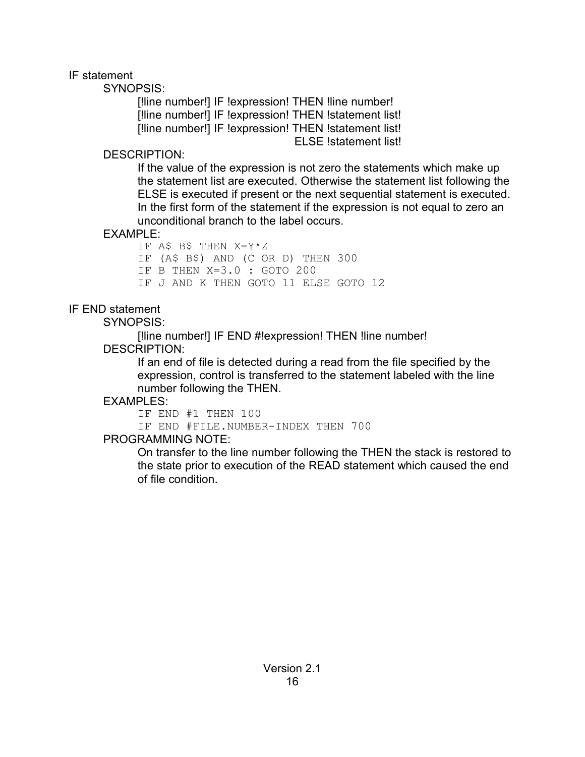### IF statement

SYNOPSIS:

[!line number!] IF !expression! THEN !line number! [!line number!] IF !expression! THEN !statement list! [!line number!] IF !expression! THEN !statement list! ELSE !statement list!

### DESCRIPTION:

If the value of the expression is not zero the statements which make up the statement list are executed. Otherwise the statement list following the ELSE is executed if present or the next sequential statement is executed. In the first form of the statement if the expression is not equal to zero an unconditional branch to the label occurs.

# EXAMPLE:

IF A\$ B\$ THEN X=Y\*Z IF (A\$ B\$) AND (C OR D) THEN 300 IF B THEN X=3.0 : GOTO 200 IF J AND K THEN GOTO 11 ELSE GOTO 12

# IF END statement

SYNOPSIS:

[!line number!] IF END #!expression! THEN !line number! DESCRIPTION:

If an end of file is detected during a read from the file specified by the expression, control is transferred to the statement labeled with the line number following the THEN.

# EXAMPLES:

IF END #1 THEN 100

IF END #FILE.NUMBER-INDEX THEN 700

# PROGRAMMING NOTE:

On transfer to the line number following the THEN the stack is restored to the state prior to execution of the READ statement which caused the end of file condition.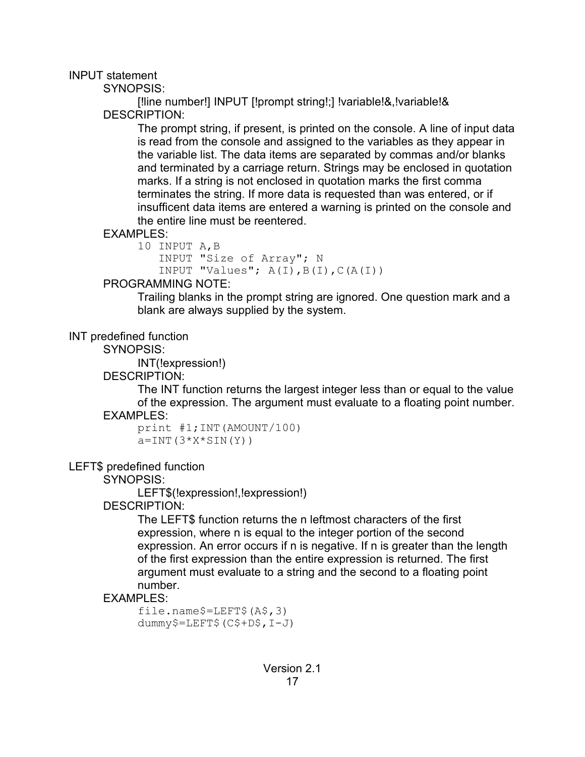#### INPUT statement

SYNOPSIS:

[!line number!] INPUT [!prompt string!;] !variable!&,!variable!& DESCRIPTION:

The prompt string, if present, is printed on the console. A line of input data is read from the console and assigned to the variables as they appear in the variable list. The data items are separated by commas and/or blanks and terminated by a carriage return. Strings may be enclosed in quotation marks. If a string is not enclosed in quotation marks the first comma terminates the string. If more data is requested than was entered, or if insufficent data items are entered a warning is printed on the console and the entire line must be reentered.

### EXAMPLES:

```
10 INPUT A,B
    INPUT "Size of Array"; N
   INPUT "Values"; A(I), B(I), C(A(I))
```
### PROGRAMMING NOTE:

Trailing blanks in the prompt string are ignored. One question mark and a blank are always supplied by the system.

### INT predefined function

SYNOPSIS:

INT(!expression!)

DESCRIPTION:

The INT function returns the largest integer less than or equal to the value of the expression. The argument must evaluate to a floating point number. EXAMPLES:

print #1;INT(AMOUNT/100)  $a=INT(3*X*SIM(Y))$ 

# LEFT\$ predefined function

SYNOPSIS:

LEFT\$(!expression!,!expression!)

# DESCRIPTION:

The LEFT\$ function returns the n leftmost characters of the first expression, where n is equal to the integer portion of the second expression. An error occurs if n is negative. If n is greater than the length of the first expression than the entire expression is returned. The first argument must evaluate to a string and the second to a floating point number.

# EXAMPLES:

file.name\$=LEFT\$(A\$,3) dummy\$=LEFT\$(C\$+D\$,I-J)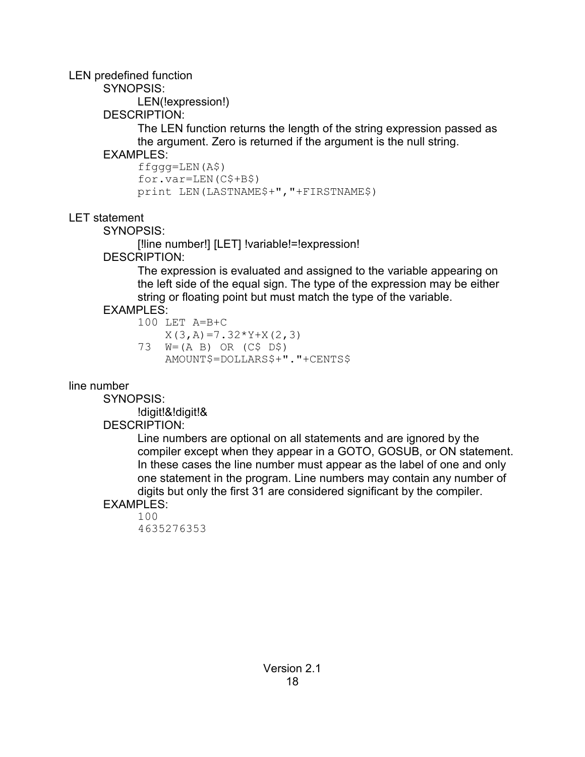LEN predefined function

SYNOPSIS:

LEN(!expression!)

DESCRIPTION:

The LEN function returns the length of the string expression passed as the argument. Zero is returned if the argument is the null string.

**FXAMPLES:** 

```
ffggg=LEN(A$)
for.var=LEN(C$+B$)
print LEN(LASTNAME$+","+FIRSTNAME$)
```
LET statement

SYNOPSIS:

[!line number!] [LET] !variable!=!expression!

DESCRIPTION:

The expression is evaluated and assigned to the variable appearing on the left side of the equal sign. The type of the expression may be either string or floating point but must match the type of the variable.

# EXAMPLES:

```
100 LET A=B+C
   X(3, A) = 7.32*Y+X(2, 3)73 W=(A B) OR (C$ D$)
    AMOUNT$=DOLLARS$+"."+CENTS$
```
line number

SYNOPSIS:

!digit!&!digit!&

# DESCRIPTION:

Line numbers are optional on all statements and are ignored by the compiler except when they appear in a GOTO, GOSUB, or ON statement. In these cases the line number must appear as the label of one and only one statement in the program. Line numbers may contain any number of digits but only the first 31 are considered significant by the compiler.

EXAMPLES:

100 4635276353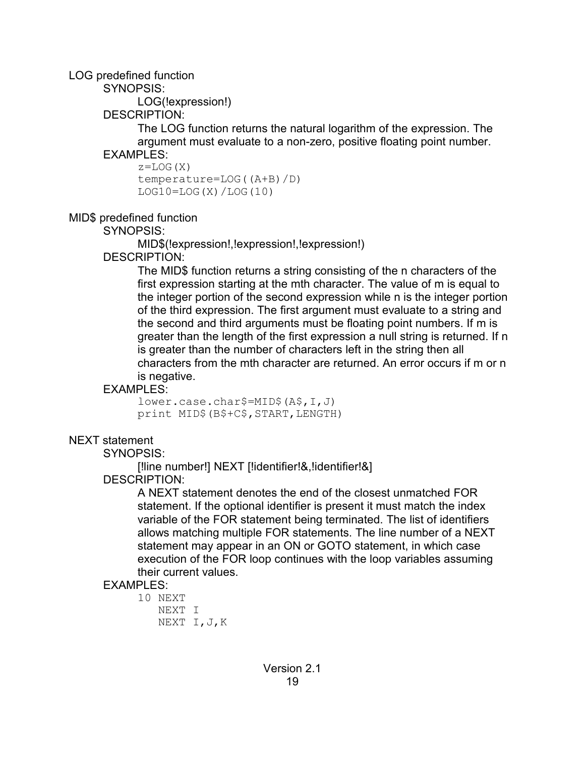#### LOG predefined function

SYNOPSIS:

LOG(!expression!)

DESCRIPTION:

The LOG function returns the natural logarithm of the expression. The argument must evaluate to a non-zero, positive floating point number. **FXAMPLES:** 

 $z = LOG(X)$ temperature=LOG((A+B)/D)  $LOG10=LOG(X)/LOG(10)$ 

MID\$ predefined function

SYNOPSIS:

MID\$(!expression!,!expression!,!expression!)

DESCRIPTION:

The MID\$ function returns a string consisting of the n characters of the first expression starting at the mth character. The value of m is equal to the integer portion of the second expression while n is the integer portion of the third expression. The first argument must evaluate to a string and the second and third arguments must be floating point numbers. If m is greater than the length of the first expression a null string is returned. If n is greater than the number of characters left in the string then all characters from the mth character are returned. An error occurs if m or n is negative.

# EXAMPLES:

lower.case.char\$=MID\$(A\$,I,J) print MID\$(B\$+C\$,START,LENGTH)

# NEXT statement

SYNOPSIS:

[!line number!] NEXT [!identifier!&,!identifier!&]

DESCRIPTION:

A NEXT statement denotes the end of the closest unmatched FOR statement. If the optional identifier is present it must match the index variable of the FOR statement being terminated. The list of identifiers allows matching multiple FOR statements. The line number of a NEXT statement may appear in an ON or GOTO statement, in which case execution of the FOR loop continues with the loop variables assuming their current values.

# EXAMPLES:

```
10 NEXT
    NEXT I
    NEXT I,J,K
```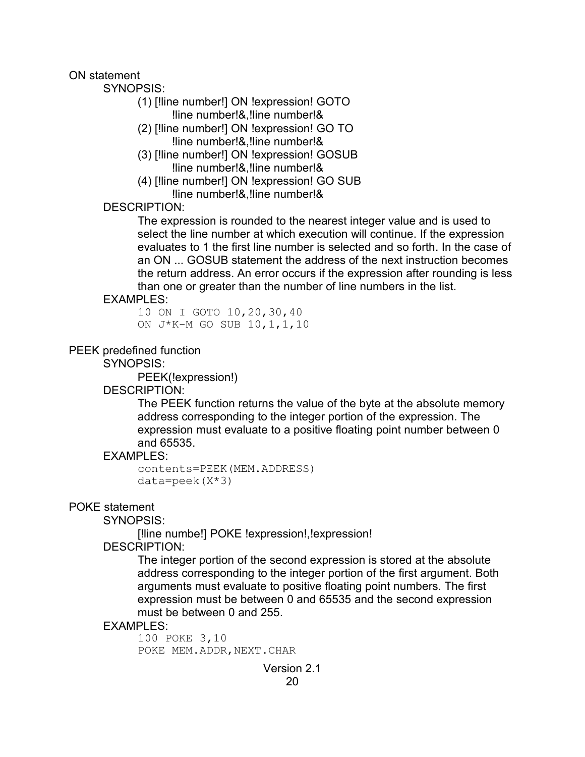ON statement

SYNOPSIS:

- (1) [!line number!] ON !expression! GOTO !line number!&,!line number!&
- (2) [!line number!] ON !expression! GO TO !line number!&,!line number!&
- (3) [!line number!] ON !expression! GOSUB !line number!&,!line number!&
- (4) [!line number!] ON !expression! GO SUB !line number!&,!line number!&

DESCRIPTION:

The expression is rounded to the nearest integer value and is used to select the line number at which execution will continue. If the expression evaluates to 1 the first line number is selected and so forth. In the case of an ON ... GOSUB statement the address of the next instruction becomes the return address. An error occurs if the expression after rounding is less than one or greater than the number of line numbers in the list.

### EXAMPLES:

10 ON I GOTO 10,20,30,40 ON J\*K-M GO SUB 10,1,1,10

PEEK predefined function

SYNOPSIS:

PEEK(!expression!)

#### DESCRIPTION:

The PEEK function returns the value of the byte at the absolute memory address corresponding to the integer portion of the expression. The expression must evaluate to a positive floating point number between 0 and 65535.

### EXAMPLES:

```
contents=PEEK(MEM.ADDRESS)
data = peek(X * 3)
```
### POKE statement

SYNOPSIS:

[!line numbe!] POKE !expression!,!expression!

DESCRIPTION:

The integer portion of the second expression is stored at the absolute address corresponding to the integer portion of the first argument. Both arguments must evaluate to positive floating point numbers. The first expression must be between 0 and 65535 and the second expression must be between 0 and 255.

#### EXAMPLES:

100 POKE 3,10 POKE MEM.ADDR, NEXT.CHAR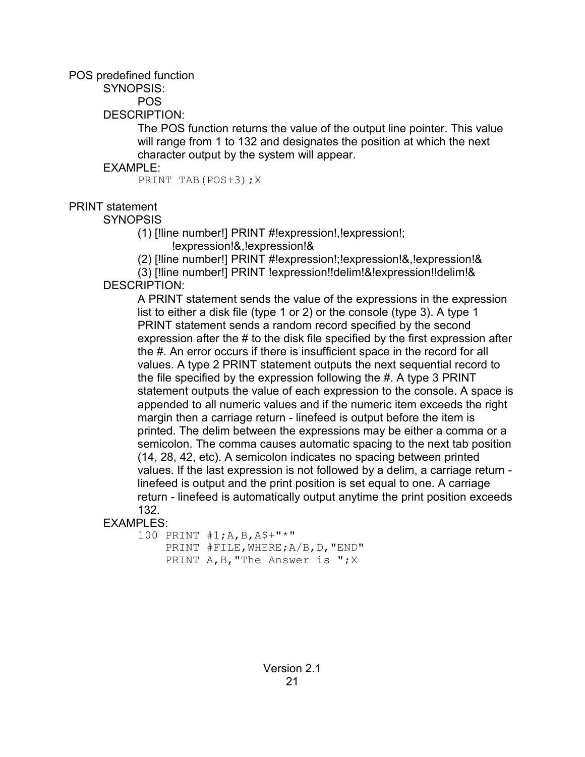POS predefined function

SYNOPSIS:

POS

DESCRIPTION:

The POS function returns the value of the output line pointer. This value will range from 1 to 132 and designates the position at which the next character output by the system will appear.

### EXAMPLE:

PRINT TAB(POS+3); X

# PRINT statement

**SYNOPSIS** 

(1) [!line number!] PRINT #!expression!,!expression!;

!expression!&,!expression!&

(2) [!line number!] PRINT #!expression!;!expression!&,!expression!&

(3) [!line number!] PRINT !expression!!delim!&!expression!!delim!& DESCRIPTION:

A PRINT statement sends the value of the expressions in the expression list to either a disk file (type 1 or 2) or the console (type 3). A type 1 PRINT statement sends a random record specified by the second expression after the # to the disk file specified by the first expression after the #. An error occurs if there is insufficient space in the record for all values. A type 2 PRINT statement outputs the next sequential record to the file specified by the expression following the #. A type 3 PRINT statement outputs the value of each expression to the console. A space is appended to all numeric values and if the numeric item exceeds the right margin then a carriage return - linefeed is output before the item is printed. The delim between the expressions may be either a comma or a semicolon. The comma causes automatic spacing to the next tab position (14, 28, 42, etc). A semicolon indicates no spacing between printed values. If the last expression is not followed by a delim, a carriage return linefeed is output and the print position is set equal to one. A carriage return - linefeed is automatically output anytime the print position exceeds 132.

### EXAMPLES:

100 PRINT #1;A,B,A\$+"\*" PRINT #FILE,WHERE;A/B,D,"END" PRINT A, B, "The Answer is "; X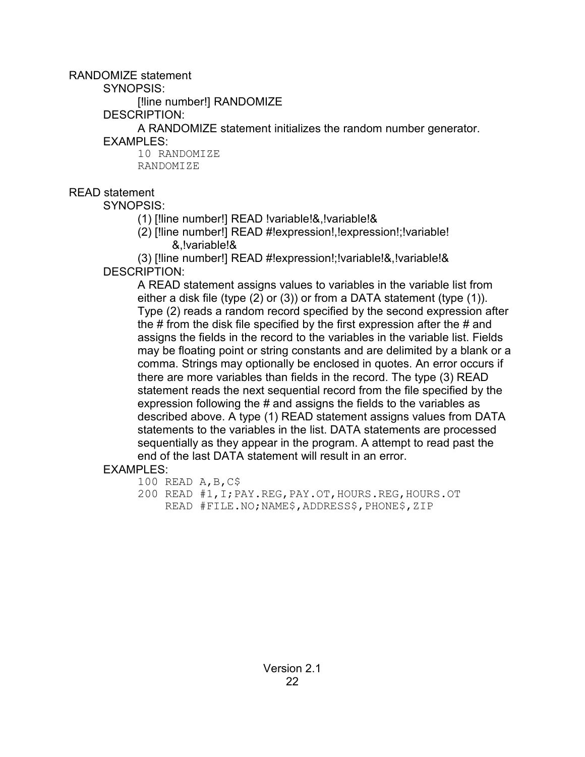RANDOMIZE statement

SYNOPSIS:

[!line number!] RANDOMIZE

DESCRIPTION:

A RANDOMIZE statement initializes the random number generator.

EXAMPLES:

10 RANDOMIZE RANDOMIZE

# READ statement

SYNOPSIS:

(1) [!line number!] READ !variable!&,!variable!&

(2) [!line number!] READ #!expression!,!expression!;!variable! &,!variable!&

(3) [!line number!] READ #!expression!;!variable!&,!variable!& DESCRIPTION:

A READ statement assigns values to variables in the variable list from either a disk file (type (2) or (3)) or from a DATA statement (type (1)). Type (2) reads a random record specified by the second expression after the # from the disk file specified by the first expression after the # and assigns the fields in the record to the variables in the variable list. Fields may be floating point or string constants and are delimited by a blank or a comma. Strings may optionally be enclosed in quotes. An error occurs if there are more variables than fields in the record. The type (3) READ statement reads the next sequential record from the file specified by the expression following the # and assigns the fields to the variables as described above. A type (1) READ statement assigns values from DATA statements to the variables in the list. DATA statements are processed sequentially as they appear in the program. A attempt to read past the end of the last DATA statement will result in an error.

EXAMPLES:

```
100 READ A,B,C$
```
200 READ #1,I;PAY.REG,PAY.OT,HOURS.REG,HOURS.OT READ #FILE.NO;NAME\$,ADDRESS\$,PHONE\$,ZIP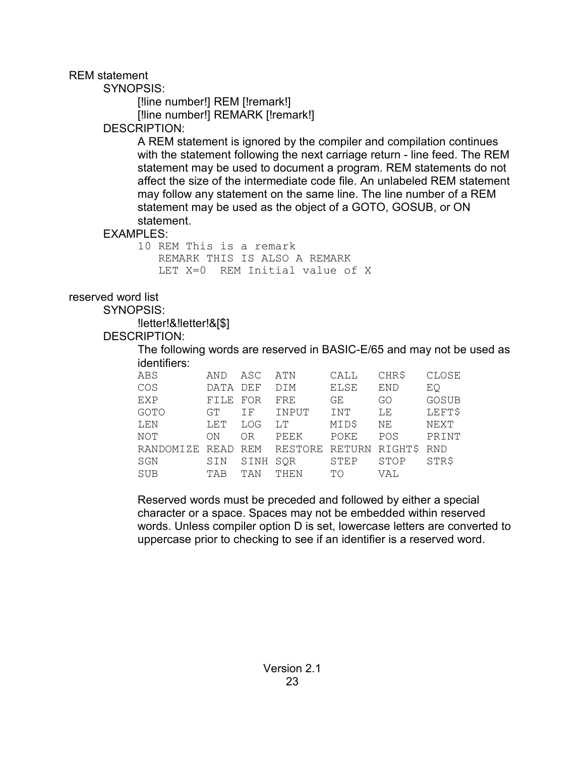REM statement

SYNOPSIS:

[!line number!] REM [!remark!] [!line number!] REMARK [!remark!]

### DESCRIPTION:

A REM statement is ignored by the compiler and compilation continues with the statement following the next carriage return - line feed. The REM statement may be used to document a program. REM statements do not affect the size of the intermediate code file. An unlabeled REM statement may follow any statement on the same line. The line number of a REM statement may be used as the object of a GOTO, GOSUB, or ON statement.

### EXAMPLES:

```
10 REM This is a remark
   REMARK THIS IS ALSO A REMARK
   LET X=0 REM Initial value of X
```
### reserved word list

SYNOPSIS:

!letter!&!letter!&[\$]

### DESCRIPTION:

The following words are reserved in BASIC-E/65 and may not be used as identifiers:

| AND  | ASC            | ATN        | CALL        | CHR\$      | CLOSE      |
|------|----------------|------------|-------------|------------|------------|
| DATA | DEF            | <b>DIM</b> | <b>ELSE</b> | <b>END</b> | EQ         |
| FILE | FOR            | FRE        | GE          | GO         | GOSUB      |
| GT   | ΙF             | INPUT      | INT         | LE.        | LEFT\$     |
| LET  | LOG            | LT         | MID\$       | NΕ         | NEXT       |
| ON   | 0 <sub>R</sub> | PEEK       | POKE        | POS        | PRINT      |
| READ | REM            | RESTORE    |             | RIGHT\$    | <b>RND</b> |
| SIN  | SINH           | SQR        | STEP        | STOP       | STR\$      |
| TAB  | TAN            | THEN       | TО          | VAL        |            |
|      |                |            |             | RETURN     |            |

Reserved words must be preceded and followed by either a special character or a space. Spaces may not be embedded within reserved words. Unless compiler option D is set, lowercase letters are converted to uppercase prior to checking to see if an identifier is a reserved word.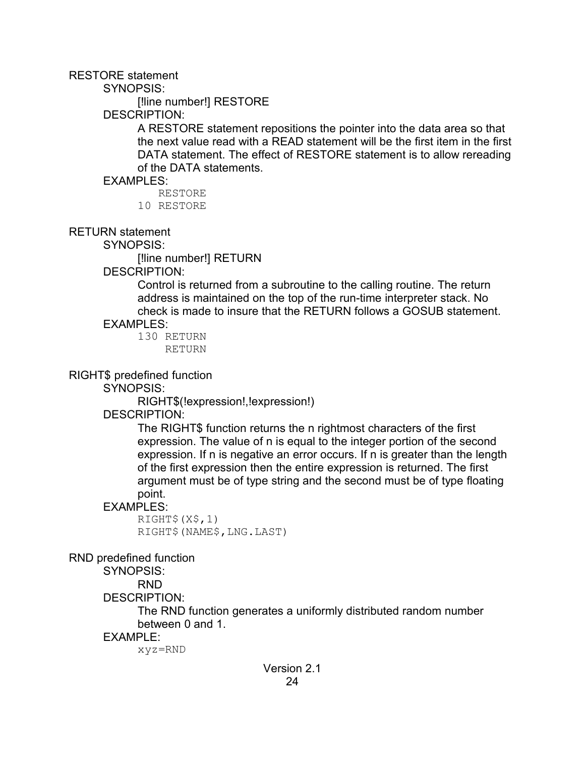#### RESTORE statement

SYNOPSIS:

[!line number!] RESTORE

DESCRIPTION:

A RESTORE statement repositions the pointer into the data area so that the next value read with a READ statement will be the first item in the first DATA statement. The effect of RESTORE statement is to allow rereading of the DATA statements.

EXAMPLES:

RESTORE

10 RESTORE

RETURN statement

SYNOPSIS:

[!line number!] RETURN

DESCRIPTION:

Control is returned from a subroutine to the calling routine. The return address is maintained on the top of the run-time interpreter stack. No check is made to insure that the RETURN follows a GOSUB statement.

#### EXAMPLES:

130 RETURN RETURN

RIGHT\$ predefined function

SYNOPSIS:

RIGHT\$(!expression!,!expression!)

DESCRIPTION:

The RIGHT\$ function returns the n rightmost characters of the first expression. The value of n is equal to the integer portion of the second expression. If n is negative an error occurs. If n is greater than the length of the first expression then the entire expression is returned. The first argument must be of type string and the second must be of type floating point.

#### EXAMPLES:

RIGHT\$(X\$,1) RIGHT\$(NAME\$,LNG.LAST)

RND predefined function

SYNOPSIS:

RND

DESCRIPTION:

The RND function generates a uniformly distributed random number between 0 and 1.

#### EXAMPLE:

xyz=RND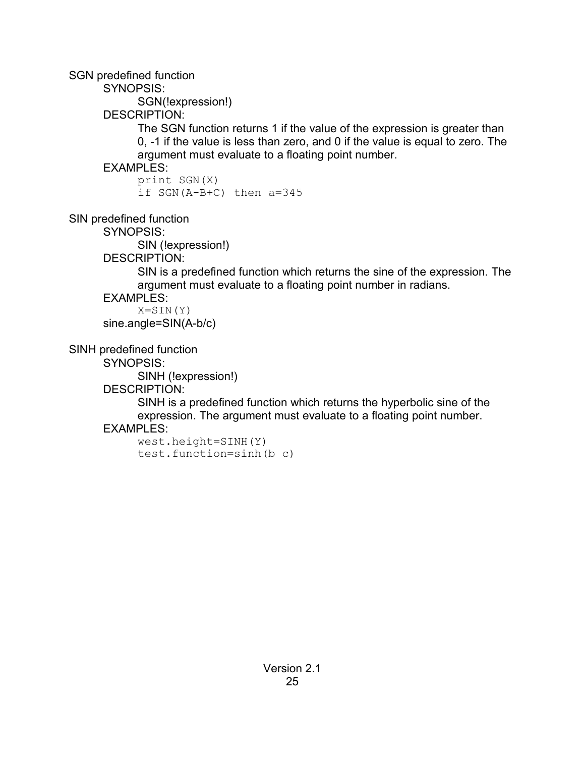SGN predefined function

SYNOPSIS:

SGN(!expression!)

DESCRIPTION:

The SGN function returns 1 if the value of the expression is greater than 0, -1 if the value is less than zero, and 0 if the value is equal to zero. The argument must evaluate to a floating point number.

# EXAMPLES:

print SGN(X) if SGN(A-B+C) then a=345

SIN predefined function

SYNOPSIS:

SIN (!expression!)

DESCRIPTION:

SIN is a predefined function which returns the sine of the expression. The argument must evaluate to a floating point number in radians.

EXAMPLES:

 $X = \text{SIM}(Y)$ sine.angle=SIN(A-b/c)

SINH predefined function

SYNOPSIS:

SINH (!expression!)

DESCRIPTION:

SINH is a predefined function which returns the hyperbolic sine of the expression. The argument must evaluate to a floating point number.

# EXAMPLES:

west.height=SINH(Y) test.function=sinh(b c)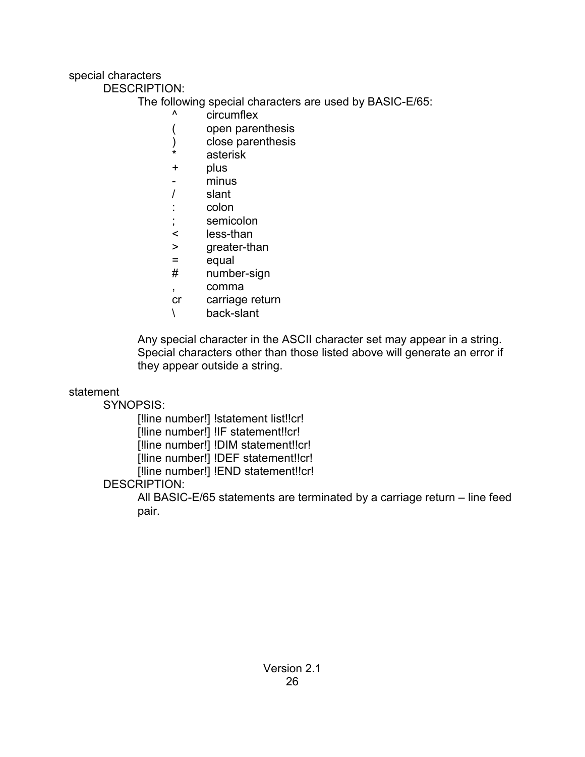### special characters

DESCRIPTION:

The following special characters are used by BASIC-E/65:

- ^ circumflex
- ( open parenthesis
- ) close parenthesis
- asterisk
- + plus
- minus
- / slant
- : colon
- semicolon
- < less-than
- > greater-than
- = equal
- # number-sign
- , comma
- cr carriage return
- \ back-slant

Any special character in the ASCII character set may appear in a string. Special characters other than those listed above will generate an error if they appear outside a string.

statement

SYNOPSIS:

[!line number!] !statement list!!cr!

[!line number!] !IF statement!!cr!

[!line number!] !DIM statement!!cr!

[!line number!] !DEF statement!!cr!

[!line number!] !END statement!!cr!

# DESCRIPTION:

All BASIC-E/65 statements are terminated by a carriage return – line feed pair.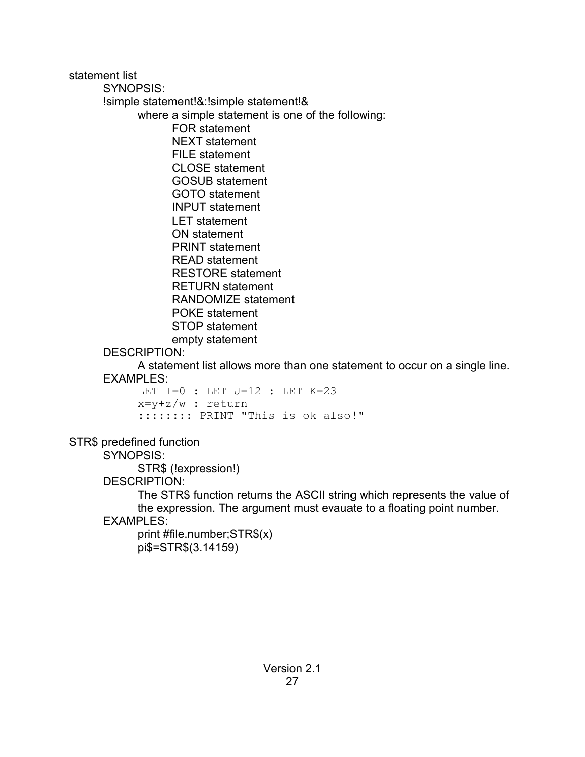statement list SYNOPSIS: !simple statement!&:!simple statement!& where a simple statement is one of the following: FOR statement NEXT statement FILE statement CLOSE statement GOSUB statement GOTO statement INPUT statement LET statement ON statement PRINT statement READ statement RESTORE statement RETURN statement RANDOMIZE statement POKE statement STOP statement empty statement DESCRIPTION: A statement list allows more than one statement to occur on a single line. EXAMPLES:

LET  $I=0$  : LET  $J=12$  : LET  $K=23$ x=y+z/w : return :::::::: PRINT "This is ok also!"

STR\$ predefined function

SYNOPSIS:

STR\$ (!expression!)

DESCRIPTION:

The STR\$ function returns the ASCII string which represents the value of the expression. The argument must evauate to a floating point number.

EXAMPLES:

print #file.number;STR\$(x) pi\$=STR\$(3.14159)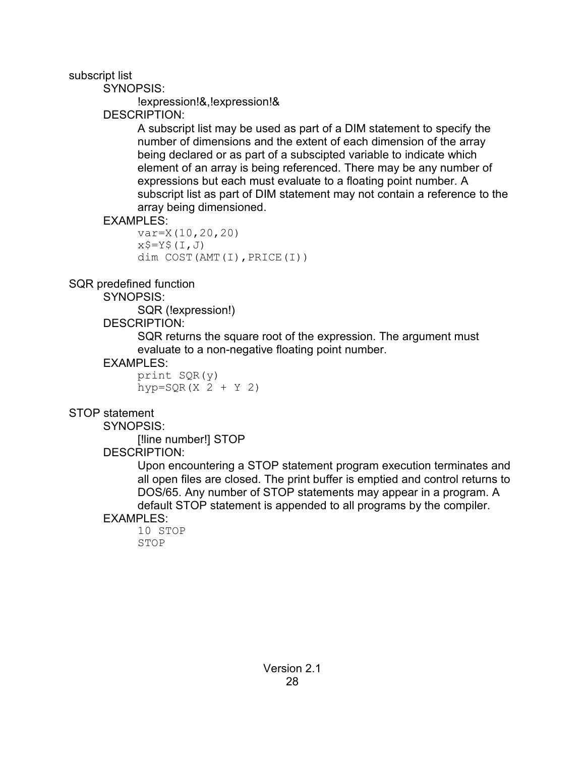subscript list

SYNOPSIS:

!expression!&,!expression!&

# DESCRIPTION:

A subscript list may be used as part of a DIM statement to specify the number of dimensions and the extent of each dimension of the array being declared or as part of a subscipted variable to indicate which element of an array is being referenced. There may be any number of expressions but each must evaluate to a floating point number. A subscript list as part of DIM statement may not contain a reference to the array being dimensioned.

# **FXAMPLES:**

```
var=X(10,20,20)
x$=Y$(I,J)
dim COST(AMT(I),PRICE(I))
```
# SQR predefined function

SYNOPSIS:

SQR (!expression!)

# DESCRIPTION:

SQR returns the square root of the expression. The argument must evaluate to a non-negative floating point number.

# EXAMPLES:

print  $SOR(y)$  $hyp = SQR(X 2 + Y 2)$ 

# STOP statement

SYNOPSIS:

[!line number!] STOP

# DESCRIPTION:

Upon encountering a STOP statement program execution terminates and all open files are closed. The print buffer is emptied and control returns to DOS/65. Any number of STOP statements may appear in a program. A default STOP statement is appended to all programs by the compiler.

# EXAMPLES:

10 STOP STOP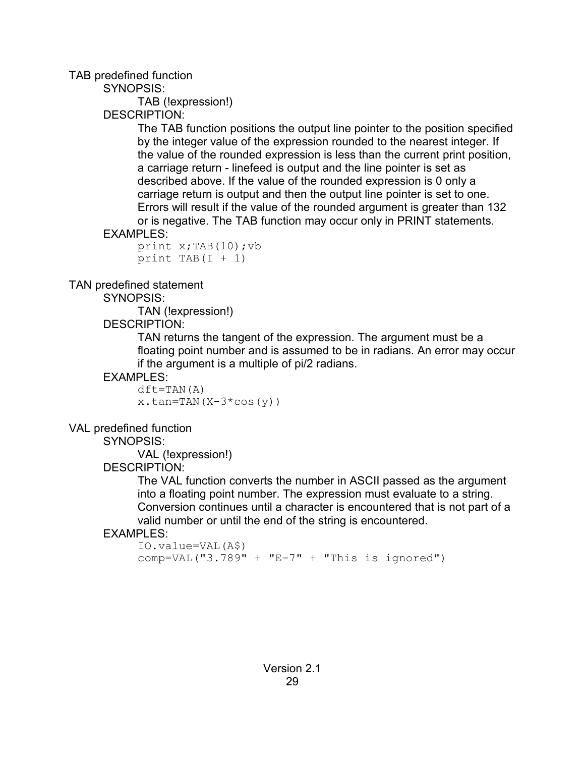### TAB predefined function

SYNOPSIS:

TAB (!expression!)

### DESCRIPTION:

The TAB function positions the output line pointer to the position specified by the integer value of the expression rounded to the nearest integer. If the value of the rounded expression is less than the current print position, a carriage return - linefeed is output and the line pointer is set as described above. If the value of the rounded expression is 0 only a carriage return is output and then the output line pointer is set to one. Errors will result if the value of the rounded argument is greater than 132 or is negative. The TAB function may occur only in PRINT statements.

### EXAMPLES:

```
print x;TAB(10);vb
print TAB(I + 1)
```
### TAN predefined statement

SYNOPSIS:

TAN (!expression!)

# DESCRIPTION:

TAN returns the tangent of the expression. The argument must be a floating point number and is assumed to be in radians. An error may occur if the argument is a multiple of pi/2 radians.

### EXAMPLES:

 $dft = TAN(A)$  $x.tan=TAN(X-3*cos(y))$ 

### VAL predefined function

SYNOPSIS:

VAL (!expression!)

### DESCRIPTION:

The VAL function converts the number in ASCII passed as the argument into a floating point number. The expression must evaluate to a string. Conversion continues until a character is encountered that is not part of a valid number or until the end of the string is encountered.

### EXAMPLES:

```
IO.value=VAL(A$)
comp=VAL("3.789" + "E-7" + "This is ignored")
```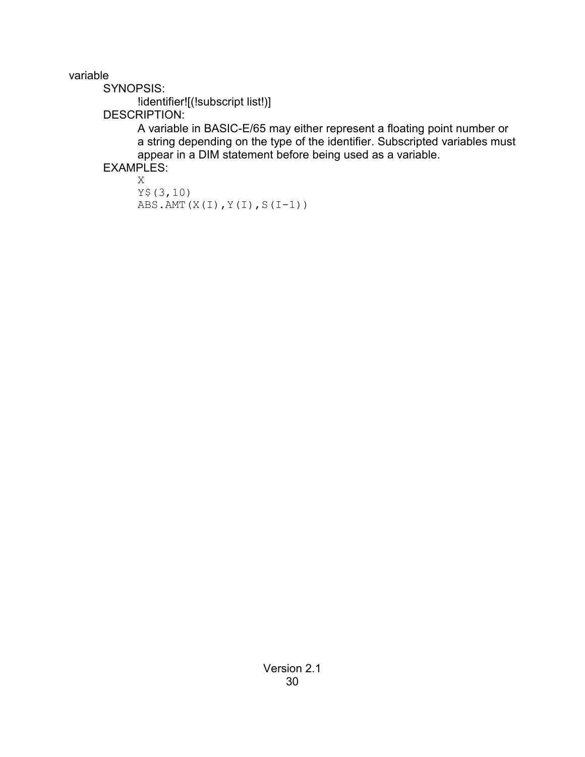variable

SYNOPSIS:

!identifier![(!subscript list!)]

DESCRIPTION:

A variable in BASIC-E/65 may either represent a floating point number or a string depending on the type of the identifier. Subscripted variables must appear in a DIM statement before being used as a variable.

EXAMPLES:

```
X
Y$(3,10)
ABS.AMT(X(I), Y(I), S(I-1))
```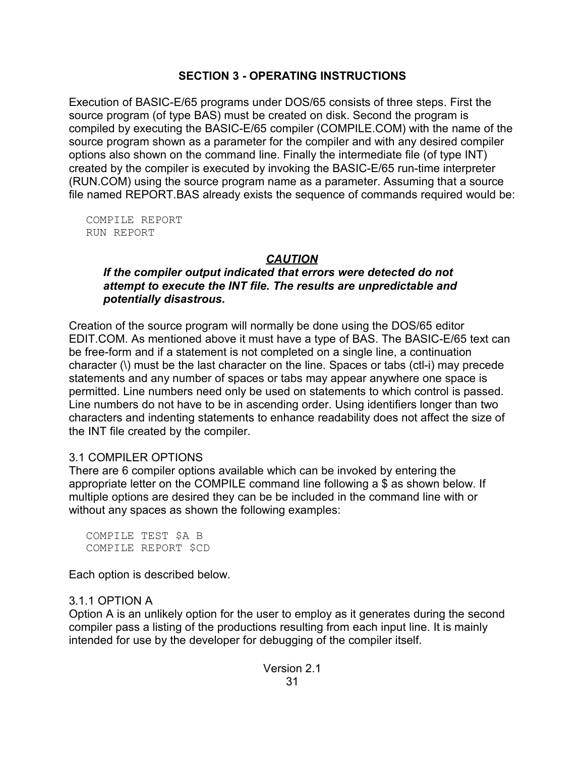### **SECTION 3 - OPERATING INSTRUCTIONS**

Execution of BASIC-E/65 programs under DOS/65 consists of three steps. First the source program (of type BAS) must be created on disk. Second the program is compiled by executing the BASIC-E/65 compiler (COMPILE.COM) with the name of the source program shown as a parameter for the compiler and with any desired compiler options also shown on the command line. Finally the intermediate file (of type INT) created by the compiler is executed by invoking the BASIC-E/65 run-time interpreter (RUN.COM) using the source program name as a parameter. Assuming that a source file named REPORT.BAS already exists the sequence of commands required would be:

COMPILE REPORT RUN REPORT

# *CAUTION*

### *If the compiler output indicated that errors were detected do not attempt to execute the INT file. The results are unpredictable and potentially disastrous.*

Creation of the source program will normally be done using the DOS/65 editor EDIT.COM. As mentioned above it must have a type of BAS. The BASIC-E/65 text can be free-form and if a statement is not completed on a single line, a continuation character (\) must be the last character on the line. Spaces or tabs (ctl-i) may precede statements and any number of spaces or tabs may appear anywhere one space is permitted. Line numbers need only be used on statements to which control is passed. Line numbers do not have to be in ascending order. Using identifiers longer than two characters and indenting statements to enhance readability does not affect the size of the INT file created by the compiler.

### 3.1 COMPILER OPTIONS

There are 6 compiler options available which can be invoked by entering the appropriate letter on the COMPILE command line following a \$ as shown below. If multiple options are desired they can be be included in the command line with or without any spaces as shown the following examples:

COMPILE TEST \$A B COMPILE REPORT \$CD

Each option is described below.

# 3.1.1 OPTION A

Option A is an unlikely option for the user to employ as it generates during the second compiler pass a listing of the productions resulting from each input line. It is mainly intended for use by the developer for debugging of the compiler itself.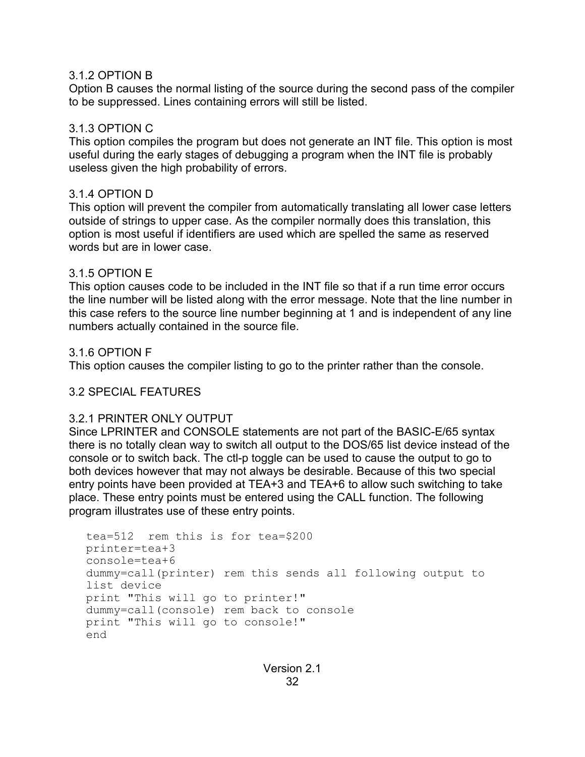### 3.1.2 OPTION B

Option B causes the normal listing of the source during the second pass of the compiler to be suppressed. Lines containing errors will still be listed.

### 3.1.3 OPTION C

This option compiles the program but does not generate an INT file. This option is most useful during the early stages of debugging a program when the INT file is probably useless given the high probability of errors.

### 3.1.4 OPTION D

This option will prevent the compiler from automatically translating all lower case letters outside of strings to upper case. As the compiler normally does this translation, this option is most useful if identifiers are used which are spelled the same as reserved words but are in lower case.

### 3.1.5 OPTION E

This option causes code to be included in the INT file so that if a run time error occurs the line number will be listed along with the error message. Note that the line number in this case refers to the source line number beginning at 1 and is independent of any line numbers actually contained in the source file.

### 3.1.6 OPTION F

This option causes the compiler listing to go to the printer rather than the console.

# 3.2 SPECIAL FEATURES

### 3.2.1 PRINTER ONLY OUTPUT

Since LPRINTER and CONSOLE statements are not part of the BASIC-E/65 syntax there is no totally clean way to switch all output to the DOS/65 list device instead of the console or to switch back. The ctl-p toggle can be used to cause the output to go to both devices however that may not always be desirable. Because of this two special entry points have been provided at TEA+3 and TEA+6 to allow such switching to take place. These entry points must be entered using the CALL function. The following program illustrates use of these entry points.

```
tea=512 rem this is for tea=$200
printer=tea+3
console=tea+6
dummy=call(printer) rem this sends all following output to
list device
print "This will go to printer!"
dummy=call(console) rem back to console
print "This will go to console!"
end
```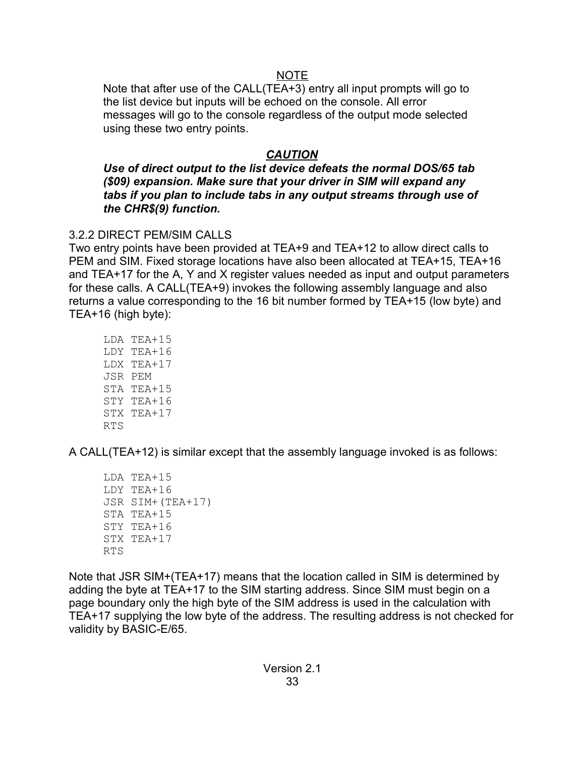# NOTE

Note that after use of the CALL(TEA+3) entry all input prompts will go to the list device but inputs will be echoed on the console. All error messages will go to the console regardless of the output mode selected using these two entry points.

# *CAUTION*

*Use of direct output to the list device defeats the normal DOS/65 tab (\$09) expansion. Make sure that your driver in SIM will expand any tabs if you plan to include tabs in any output streams through use of the CHR\$(9) function.*

# 3.2.2 DIRECT PEM/SIM CALLS

Two entry points have been provided at TEA+9 and TEA+12 to allow direct calls to PEM and SIM. Fixed storage locations have also been allocated at TEA+15, TEA+16 and TEA+17 for the A, Y and X register values needed as input and output parameters for these calls. A CALL(TEA+9) invokes the following assembly language and also returns a value corresponding to the 16 bit number formed by TEA+15 (low byte) and TEA+16 (high byte):

LDA TEA+15 LDY TEA+16 LDX TEA+17 JSR PEM STA TEA+15 STY TEA+16 STX TEA+17 RTS

A CALL(TEA+12) is similar except that the assembly language invoked is as follows:

LDA TEA+15 LDY TEA+16 JSR SIM+(TEA+17) STA TEA+15 STY TEA+16  $STX TFA+17$ RTS

Note that JSR SIM+(TEA+17) means that the location called in SIM is determined by adding the byte at TEA+17 to the SIM starting address. Since SIM must begin on a page boundary only the high byte of the SIM address is used in the calculation with TEA+17 supplying the low byte of the address. The resulting address is not checked for validity by BASIC-E/65.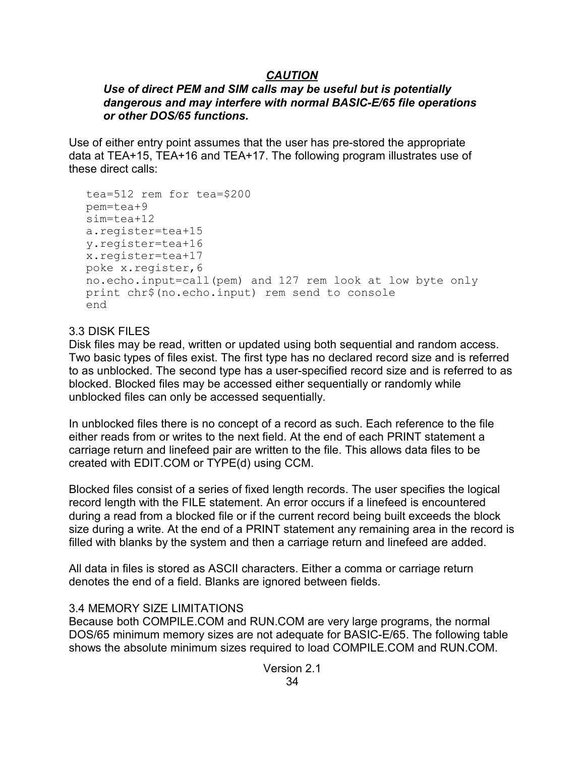# *CAUTION*

### *Use of direct PEM and SIM calls may be useful but is potentially dangerous and may interfere with normal BASIC-E/65 file operations or other DOS/65 functions.*

Use of either entry point assumes that the user has pre-stored the appropriate data at TEA+15, TEA+16 and TEA+17. The following program illustrates use of these direct calls:

```
tea=512 rem for tea=$200
pem=tea+9
sim=tea+12
a.register=tea+15
y.register=tea+16
x.register=tea+17
poke x.register,6
no.echo.input=call(pem) and 127 rem look at low byte only
print chr$(no.echo.input) rem send to console
end
```
# 3.3 DISK FILES

Disk files may be read, written or updated using both sequential and random access. Two basic types of files exist. The first type has no declared record size and is referred to as unblocked. The second type has a user-specified record size and is referred to as blocked. Blocked files may be accessed either sequentially or randomly while unblocked files can only be accessed sequentially.

In unblocked files there is no concept of a record as such. Each reference to the file either reads from or writes to the next field. At the end of each PRINT statement a carriage return and linefeed pair are written to the file. This allows data files to be created with EDIT.COM or TYPE(d) using CCM.

Blocked files consist of a series of fixed length records. The user specifies the logical record length with the FILE statement. An error occurs if a linefeed is encountered during a read from a blocked file or if the current record being built exceeds the block size during a write. At the end of a PRINT statement any remaining area in the record is filled with blanks by the system and then a carriage return and linefeed are added.

All data in files is stored as ASCII characters. Either a comma or carriage return denotes the end of a field. Blanks are ignored between fields.

### 3.4 MEMORY SIZE LIMITATIONS

Because both COMPILE.COM and RUN.COM are very large programs, the normal DOS/65 minimum memory sizes are not adequate for BASIC-E/65. The following table shows the absolute minimum sizes required to load COMPILE.COM and RUN.COM.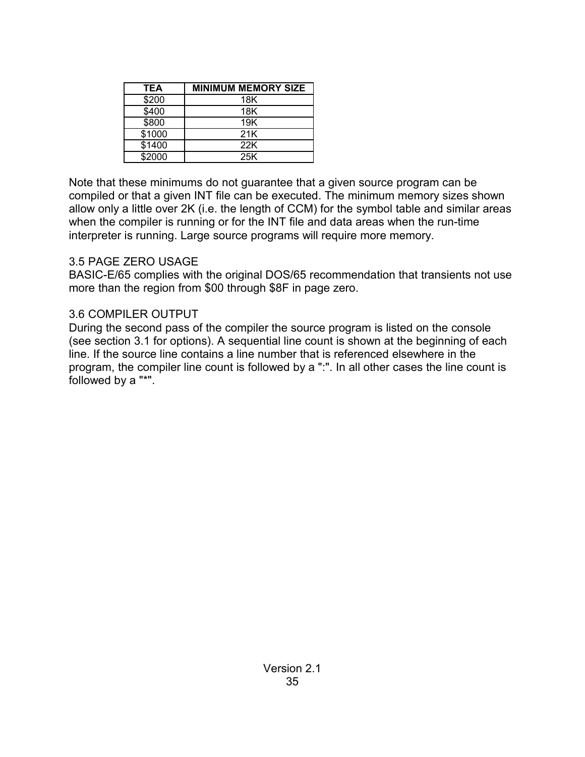| TEA    | <b>MINIMUM MEMORY SIZE</b> |
|--------|----------------------------|
| \$200  | 18K                        |
| \$400  | 18K                        |
| \$800  | 19K                        |
| \$1000 | 21K                        |
| \$1400 | 22K                        |
| \$2000 | 25K                        |

Note that these minimums do not guarantee that a given source program can be compiled or that a given INT file can be executed. The minimum memory sizes shown allow only a little over 2K (i.e. the length of CCM) for the symbol table and similar areas when the compiler is running or for the INT file and data areas when the run-time interpreter is running. Large source programs will require more memory.

### 3.5 PAGE ZERO USAGE

BASIC-E/65 complies with the original DOS/65 recommendation that transients not use more than the region from \$00 through \$8F in page zero.

### 3.6 COMPILER OUTPUT

During the second pass of the compiler the source program is listed on the console (see section 3.1 for options). A sequential line count is shown at the beginning of each line. If the source line contains a line number that is referenced elsewhere in the program, the compiler line count is followed by a ":". In all other cases the line count is followed by a "\*".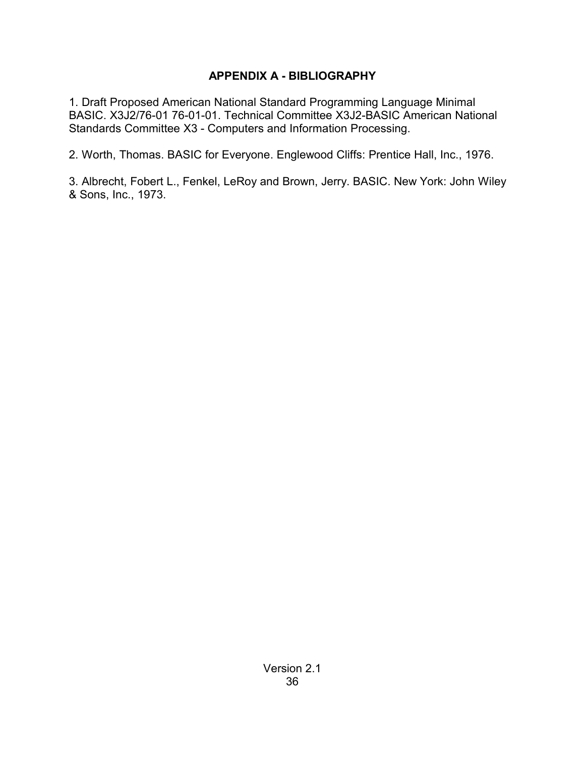# **APPENDIX A - BIBLIOGRAPHY**

1. Draft Proposed American National Standard Programming Language Minimal BASIC. X3J2/76-01 76-01-01. Technical Committee X3J2-BASIC American National Standards Committee X3 - Computers and Information Processing.

2. Worth, Thomas. BASIC for Everyone. Englewood Cliffs: Prentice Hall, Inc., 1976.

3. Albrecht, Fobert L., Fenkel, LeRoy and Brown, Jerry. BASIC. New York: John Wiley & Sons, Inc., 1973.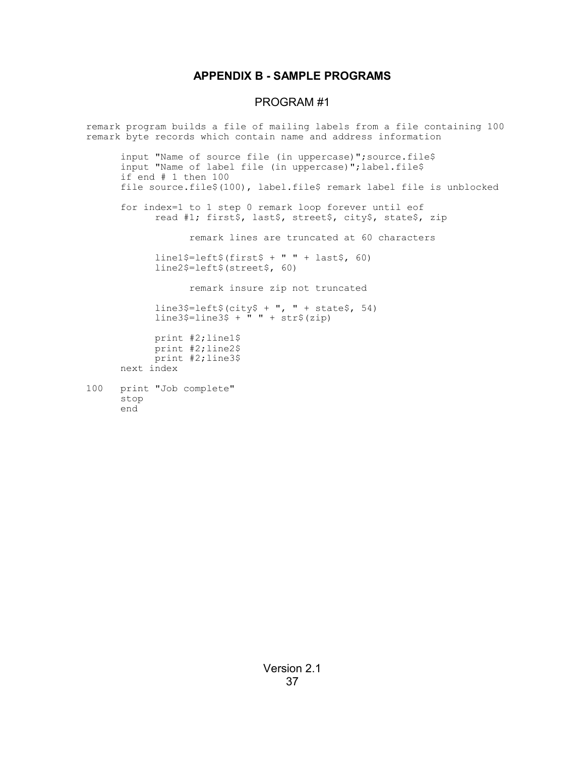#### **APPENDIX B - SAMPLE PROGRAMS**

#### PROGRAM #1

remark program builds a file of mailing labels from a file containing 100 remark byte records which contain name and address information input "Name of source file (in uppercase)";source.file\$ input "Name of label file (in uppercase)";label.file\$ if end # 1 then 100 file source.file\$(100), label.file\$ remark label file is unblocked for index=1 to 1 step 0 remark loop forever until eof read #1; first\$, last\$, street\$, city\$, state\$, zip remark lines are truncated at 60 characters line1\$=left\$(first\$ + " " + last\$,  $60$ ) line2\$=left\$(street\$, 60) remark insure zip not truncated line3\$=left\$(city\$ + ", " + state\$, 54) line3\$=line3\$ + " " + str\$(zip) print #2;line1\$ print #2;line2\$ print #2;line3\$ next index 100 print "Job complete"

stop

end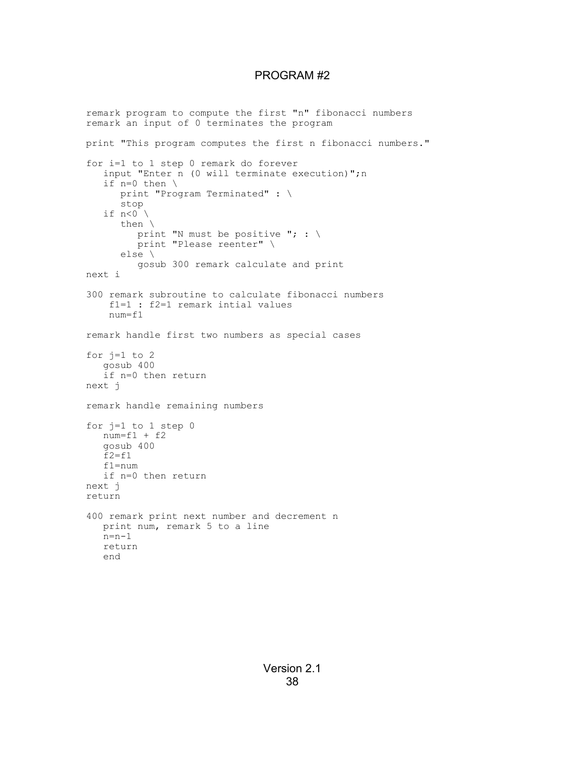#### PROGRAM #2

remark program to compute the first "n" fibonacci numbers remark an input of 0 terminates the program print "This program computes the first n fibonacci numbers." for i=1 to 1 step 0 remark do forever input "Enter n (0 will terminate execution)";n if n=0 then \ print "Program Terminated" : \ stop if  $n < 0$ then \ print "N must be positive "; :  $\setminus$ print "Please reenter" \ else \ gosub 300 remark calculate and print next i 300 remark subroutine to calculate fibonacci numbers f1=1 : f2=1 remark intial values num=f1 remark handle first two numbers as special cases for  $j=1$  to 2 gosub 400 if n=0 then return next j remark handle remaining numbers for j=1 to 1 step 0  $num=f1 + f2$ gosub 400  $f2 = f1$ f1=num if n=0 then return next j return 400 remark print next number and decrement n print num, remark 5 to a line  $n=n-1$ return end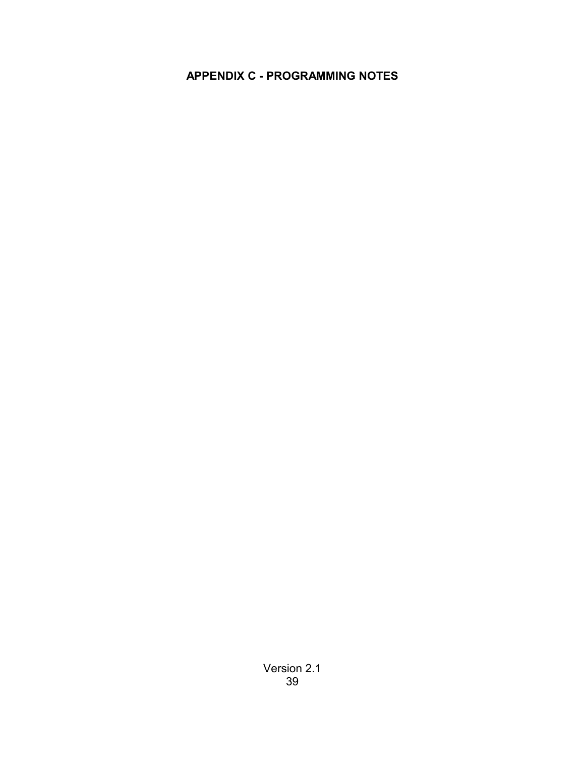# **APPENDIX C - PROGRAMMING NOTES**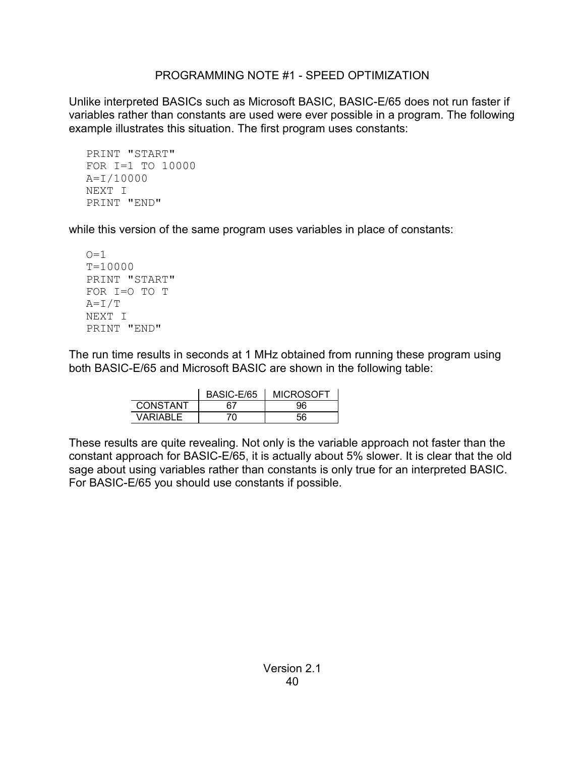### PROGRAMMING NOTE #1 - SPEED OPTIMIZATION

Unlike interpreted BASICs such as Microsoft BASIC, BASIC-E/65 does not run faster if variables rather than constants are used were ever possible in a program. The following example illustrates this situation. The first program uses constants:

```
PRINT "START"
FOR I=1 TO 10000
A=I/10000
NEXT I
PRINT "END"
```
while this version of the same program uses variables in place of constants:

```
Q=1T=10000
PRINT "START"
FOR I=O TO T
A=I/T
NEXT I
PRINT "END"
```
The run time results in seconds at 1 MHz obtained from running these program using both BASIC-E/65 and Microsoft BASIC are shown in the following table:

|                 | BASIC-E/65 | <b>MICROSOFT</b> |
|-----------------|------------|------------------|
| <b>CONSTANT</b> |            | วค               |
| VARIABLE        |            | 56               |

These results are quite revealing. Not only is the variable approach not faster than the constant approach for BASIC-E/65, it is actually about 5% slower. It is clear that the old sage about using variables rather than constants is only true for an interpreted BASIC. For BASIC-E/65 you should use constants if possible.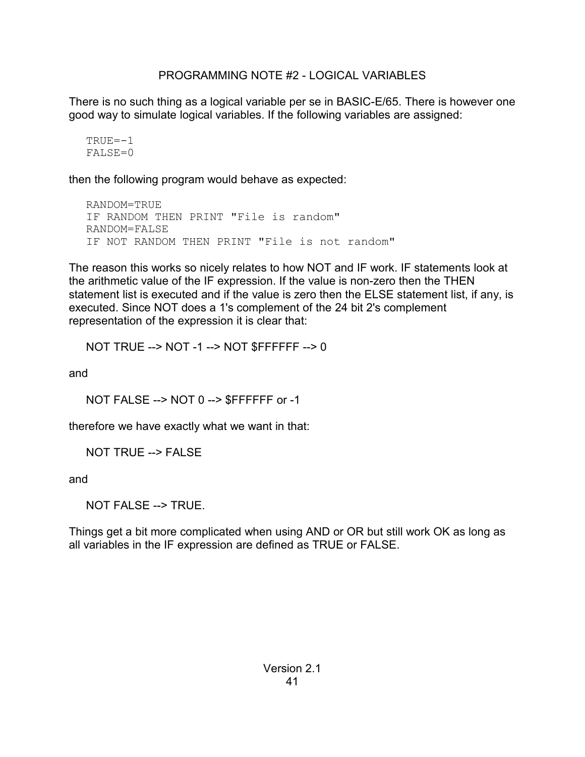### PROGRAMMING NOTE #2 - LOGICAL VARIABLES

There is no such thing as a logical variable per se in BASIC-E/65. There is however one good way to simulate logical variables. If the following variables are assigned:

```
TRUE=-1
FALSE=0
```
then the following program would behave as expected:

```
RANDOM=TRUE
IF RANDOM THEN PRINT "File is random"
RANDOM=FALSE
IF NOT RANDOM THEN PRINT "File is not random"
```
The reason this works so nicely relates to how NOT and IF work. IF statements look at the arithmetic value of the IF expression. If the value is non-zero then the THEN statement list is executed and if the value is zero then the ELSE statement list, if any, is executed. Since NOT does a 1's complement of the 24 bit 2's complement representation of the expression it is clear that:

NOT TRUE --> NOT -1 --> NOT \$FFFFFF --> 0

and

NOT FALSE --> NOT 0 --> \$FFFFFF or -1

therefore we have exactly what we want in that:

NOT TRUE --> FALSE

and

NOT FALSE --> TRUE.

Things get a bit more complicated when using AND or OR but still work OK as long as all variables in the IF expression are defined as TRUE or FALSE.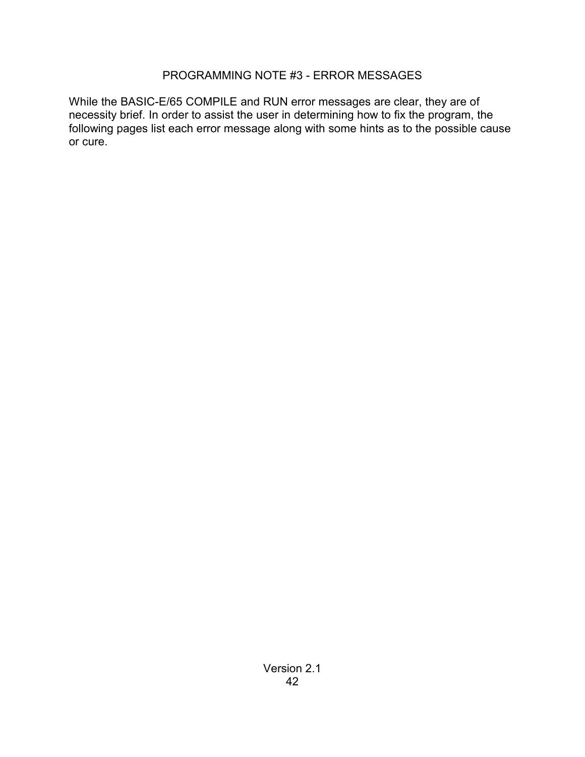### PROGRAMMING NOTE #3 - ERROR MESSAGES

While the BASIC-E/65 COMPILE and RUN error messages are clear, they are of necessity brief. In order to assist the user in determining how to fix the program, the following pages list each error message along with some hints as to the possible cause or cure.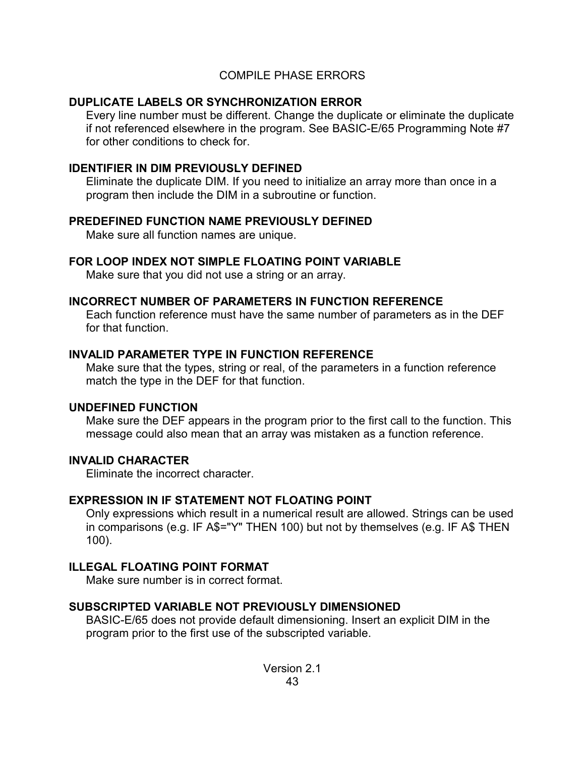### COMPILE PHASE ERRORS

### **DUPLICATE LABELS OR SYNCHRONIZATION ERROR**

Every line number must be different. Change the duplicate or eliminate the duplicate if not referenced elsewhere in the program. See BASIC-E/65 Programming Note #7 for other conditions to check for.

### **IDENTIFIER IN DIM PREVIOUSLY DEFINED**

Eliminate the duplicate DIM. If you need to initialize an array more than once in a program then include the DIM in a subroutine or function.

### **PREDEFINED FUNCTION NAME PREVIOUSLY DEFINED**

Make sure all function names are unique.

### **FOR LOOP INDEX NOT SIMPLE FLOATING POINT VARIABLE**

Make sure that you did not use a string or an array.

### **INCORRECT NUMBER OF PARAMETERS IN FUNCTION REFERENCE**

Each function reference must have the same number of parameters as in the DEF for that function.

### **INVALID PARAMETER TYPE IN FUNCTION REFERENCE**

Make sure that the types, string or real, of the parameters in a function reference match the type in the DEF for that function.

# **UNDEFINED FUNCTION**

Make sure the DEF appears in the program prior to the first call to the function. This message could also mean that an array was mistaken as a function reference.

### **INVALID CHARACTER**

Eliminate the incorrect character.

# **EXPRESSION IN IF STATEMENT NOT FLOATING POINT**

Only expressions which result in a numerical result are allowed. Strings can be used in comparisons (e.g. IF A\$="Y" THEN 100) but not by themselves (e.g. IF A\$ THEN 100).

# **ILLEGAL FLOATING POINT FORMAT**

Make sure number is in correct format.

# **SUBSCRIPTED VARIABLE NOT PREVIOUSLY DIMENSIONED**

BASIC-E/65 does not provide default dimensioning. Insert an explicit DIM in the program prior to the first use of the subscripted variable.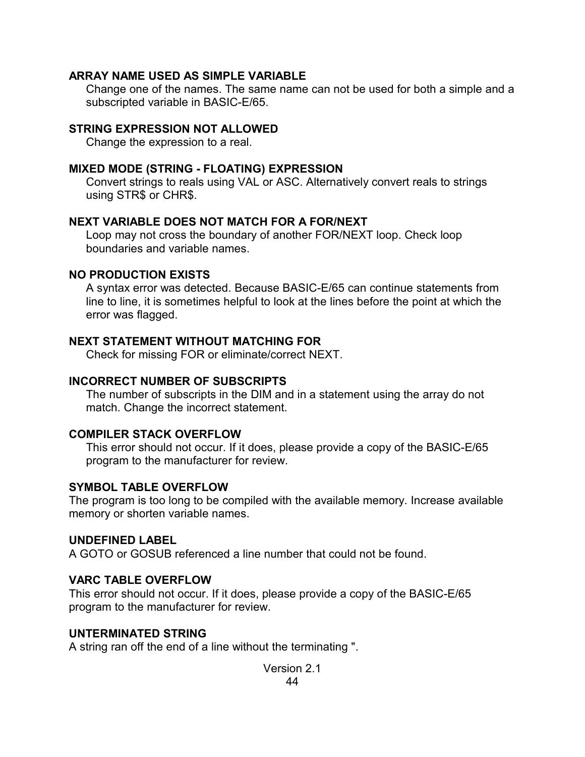#### **ARRAY NAME USED AS SIMPLE VARIABLE**

Change one of the names. The same name can not be used for both a simple and a subscripted variable in BASIC-E/65.

#### **STRING EXPRESSION NOT ALLOWED**

Change the expression to a real.

#### **MIXED MODE (STRING - FLOATING) EXPRESSION**

Convert strings to reals using VAL or ASC. Alternatively convert reals to strings using STR\$ or CHR\$.

#### **NEXT VARIABLE DOES NOT MATCH FOR A FOR/NEXT**

Loop may not cross the boundary of another FOR/NEXT loop. Check loop boundaries and variable names.

#### **NO PRODUCTION EXISTS**

A syntax error was detected. Because BASIC-E/65 can continue statements from line to line, it is sometimes helpful to look at the lines before the point at which the error was flagged.

#### **NEXT STATEMENT WITHOUT MATCHING FOR**

Check for missing FOR or eliminate/correct NEXT.

#### **INCORRECT NUMBER OF SUBSCRIPTS**

The number of subscripts in the DIM and in a statement using the array do not match. Change the incorrect statement.

#### **COMPILER STACK OVERFLOW**

This error should not occur. If it does, please provide a copy of the BASIC-E/65 program to the manufacturer for review.

#### **SYMBOL TABLE OVERFLOW**

The program is too long to be compiled with the available memory. Increase available memory or shorten variable names.

#### **UNDEFINED LABEL**

A GOTO or GOSUB referenced a line number that could not be found.

#### **VARC TABLE OVERFLOW**

This error should not occur. If it does, please provide a copy of the BASIC-E/65 program to the manufacturer for review.

#### **UNTERMINATED STRING**

A string ran off the end of a line without the terminating ".

Version 2.1 44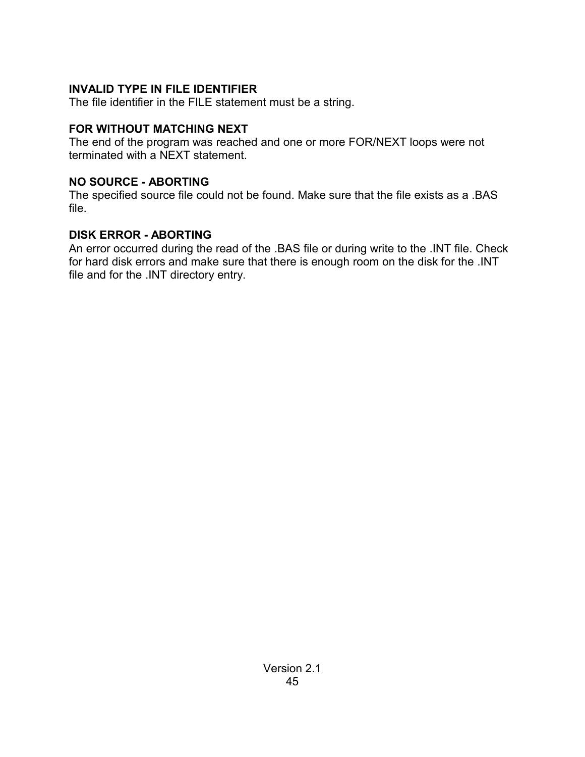### **INVALID TYPE IN FILE IDENTIFIER**

The file identifier in the FILE statement must be a string.

### **FOR WITHOUT MATCHING NEXT**

The end of the program was reached and one or more FOR/NEXT loops were not terminated with a NEXT statement.

### **NO SOURCE - ABORTING**

The specified source file could not be found. Make sure that the file exists as a .BAS file.

### **DISK ERROR - ABORTING**

An error occurred during the read of the .BAS file or during write to the .INT file. Check for hard disk errors and make sure that there is enough room on the disk for the .INT file and for the .INT directory entry.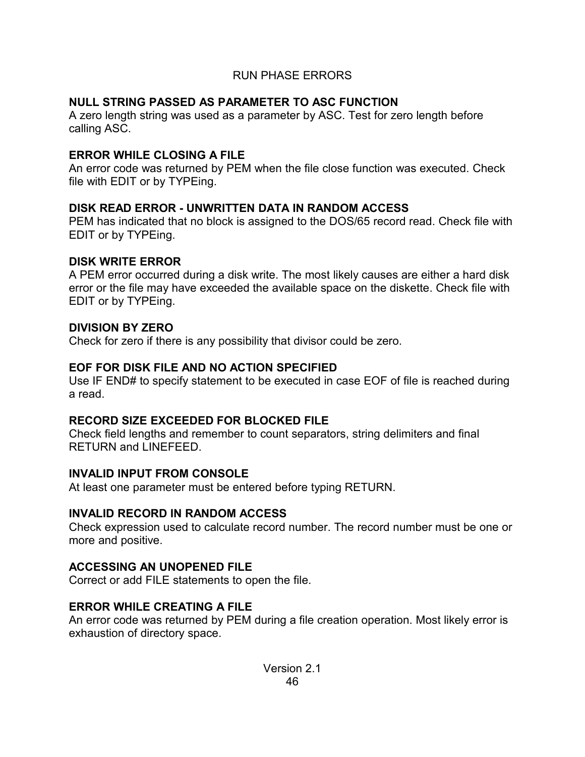### RUN PHASE ERRORS

# **NULL STRING PASSED AS PARAMETER TO ASC FUNCTION**

A zero length string was used as a parameter by ASC. Test for zero length before calling ASC.

# **ERROR WHILE CLOSING A FILE**

An error code was returned by PEM when the file close function was executed. Check file with EDIT or by TYPEing.

# **DISK READ ERROR - UNWRITTEN DATA IN RANDOM ACCESS**

PEM has indicated that no block is assigned to the DOS/65 record read. Check file with EDIT or by TYPEing.

### **DISK WRITE ERROR**

A PEM error occurred during a disk write. The most likely causes are either a hard disk error or the file may have exceeded the available space on the diskette. Check file with EDIT or by TYPEing.

# **DIVISION BY ZERO**

Check for zero if there is any possibility that divisor could be zero.

# **EOF FOR DISK FILE AND NO ACTION SPECIFIED**

Use IF END# to specify statement to be executed in case EOF of file is reached during a read.

# **RECORD SIZE EXCEEDED FOR BLOCKED FILE**

Check field lengths and remember to count separators, string delimiters and final RETURN and LINEFEED.

# **INVALID INPUT FROM CONSOLE**

At least one parameter must be entered before typing RETURN.

# **INVALID RECORD IN RANDOM ACCESS**

Check expression used to calculate record number. The record number must be one or more and positive.

# **ACCESSING AN UNOPENED FILE**

Correct or add FILE statements to open the file.

# **ERROR WHILE CREATING A FILE**

An error code was returned by PEM during a file creation operation. Most likely error is exhaustion of directory space.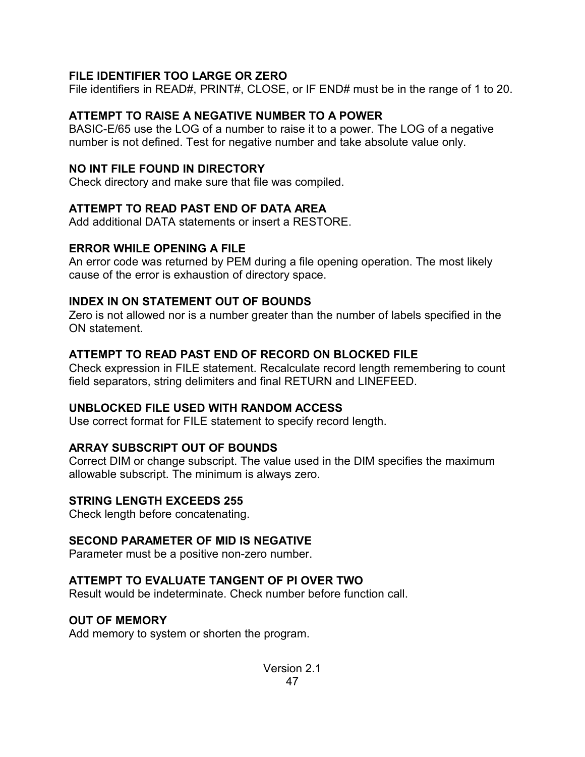### **FILE IDENTIFIER TOO LARGE OR ZERO**

File identifiers in READ#, PRINT#, CLOSE, or IF END# must be in the range of 1 to 20.

### **ATTEMPT TO RAISE A NEGATIVE NUMBER TO A POWER**

BASIC-E/65 use the LOG of a number to raise it to a power. The LOG of a negative number is not defined. Test for negative number and take absolute value only.

### **NO INT FILE FOUND IN DIRECTORY**

Check directory and make sure that file was compiled.

### **ATTEMPT TO READ PAST END OF DATA AREA**

Add additional DATA statements or insert a RESTORE.

# **ERROR WHILE OPENING A FILE**

An error code was returned by PEM during a file opening operation. The most likely cause of the error is exhaustion of directory space.

### **INDEX IN ON STATEMENT OUT OF BOUNDS**

Zero is not allowed nor is a number greater than the number of labels specified in the ON statement.

### **ATTEMPT TO READ PAST END OF RECORD ON BLOCKED FILE**

Check expression in FILE statement. Recalculate record length remembering to count field separators, string delimiters and final RETURN and LINEFEED.

### **UNBLOCKED FILE USED WITH RANDOM ACCESS**

Use correct format for FILE statement to specify record length.

# **ARRAY SUBSCRIPT OUT OF BOUNDS**

Correct DIM or change subscript. The value used in the DIM specifies the maximum allowable subscript. The minimum is always zero.

# **STRING LENGTH EXCEEDS 255**

Check length before concatenating.

# **SECOND PARAMETER OF MID IS NEGATIVE**

Parameter must be a positive non-zero number.

# **ATTEMPT TO EVALUATE TANGENT OF PI OVER TWO**

Result would be indeterminate. Check number before function call.

# **OUT OF MEMORY**

Add memory to system or shorten the program.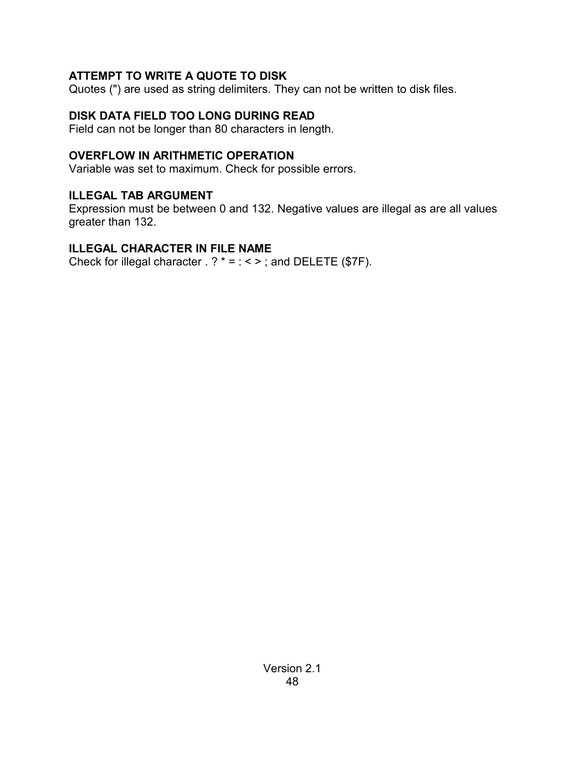# **ATTEMPT TO WRITE A QUOTE TO DISK**

Quotes (") are used as string delimiters. They can not be written to disk files.

# **DISK DATA FIELD TOO LONG DURING READ**

Field can not be longer than 80 characters in length.

# **OVERFLOW IN ARITHMETIC OPERATION**

Variable was set to maximum. Check for possible errors.

# **ILLEGAL TAB ARGUMENT**

Expression must be between 0 and 132. Negative values are illegal as are all values greater than 132.

# **ILLEGAL CHARACTER IN FILE NAME**

Check for illegal character  $. ? * = : < >$ ; and DELETE (\$7F).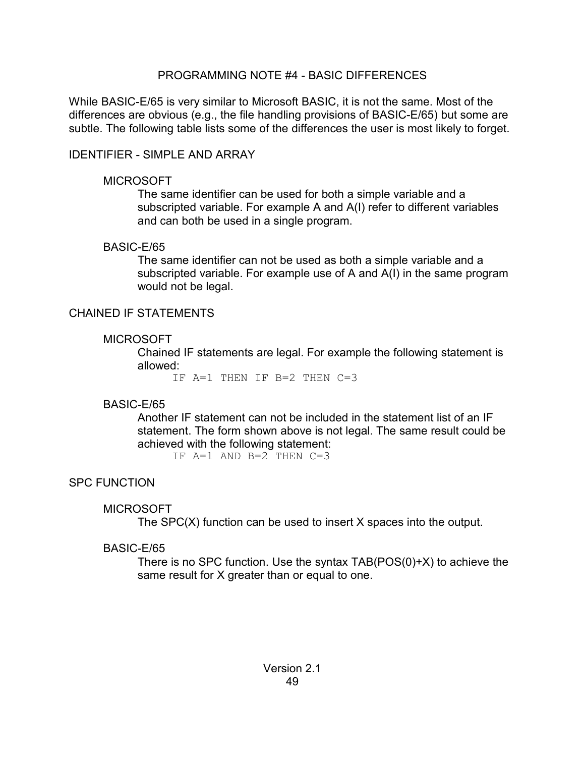### PROGRAMMING NOTE #4 - BASIC DIFFERENCES

While BASIC-E/65 is very similar to Microsoft BASIC, it is not the same. Most of the differences are obvious (e.g., the file handling provisions of BASIC-E/65) but some are subtle. The following table lists some of the differences the user is most likely to forget.

### IDENTIFIER - SIMPLE AND ARRAY

### **MICROSOFT**

The same identifier can be used for both a simple variable and a subscripted variable. For example A and A(I) refer to different variables and can both be used in a single program.

### BASIC-E/65

The same identifier can not be used as both a simple variable and a subscripted variable. For example use of A and A(I) in the same program would not be legal.

### CHAINED IF STATEMENTS

### MICROSOFT

Chained IF statements are legal. For example the following statement is allowed:

IF A=1 THEN IF B=2 THEN C=3

# BASIC-E/65

Another IF statement can not be included in the statement list of an IF statement. The form shown above is not legal. The same result could be achieved with the following statement:

IF  $A=1$  AND  $B=2$  THEN  $C=3$ 

# SPC FUNCTION

# **MICROSOFT**

The SPC(X) function can be used to insert X spaces into the output.

# BASIC-E/65

There is no SPC function. Use the syntax TAB(POS(0)+X) to achieve the same result for X greater than or equal to one.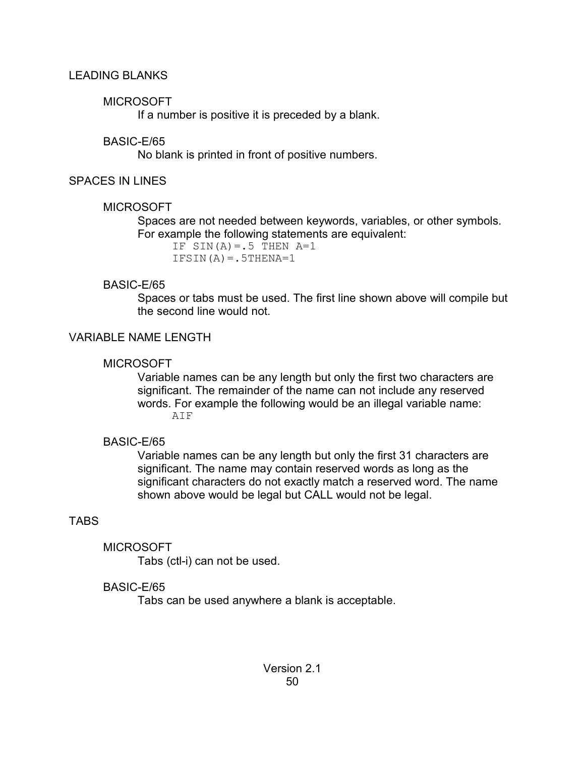### LEADING BLANKS

### **MICROSOFT**

If a number is positive it is preceded by a blank.

### BASIC-E/65

No blank is printed in front of positive numbers.

### SPACES IN LINES

### MICROSOFT

Spaces are not needed between keywords, variables, or other symbols. For example the following statements are equivalent:

IF  $SIN(A) = .5$  THEN  $A=1$  $IFSIN(A) = .5THENA=1$ 

### BASIC-E/65

Spaces or tabs must be used. The first line shown above will compile but the second line would not.

# VARIABLE NAME LENGTH

### **MICROSOFT**

Variable names can be any length but only the first two characters are significant. The remainder of the name can not include any reserved words. For example the following would be an illegal variable name: AIF

# BASIC-E/65

Variable names can be any length but only the first 31 characters are significant. The name may contain reserved words as long as the significant characters do not exactly match a reserved word. The name shown above would be legal but CALL would not be legal.

# TABS

**MICROSOFT** 

Tabs (ctl-i) can not be used.

# BASIC-E/65

Tabs can be used anywhere a blank is acceptable.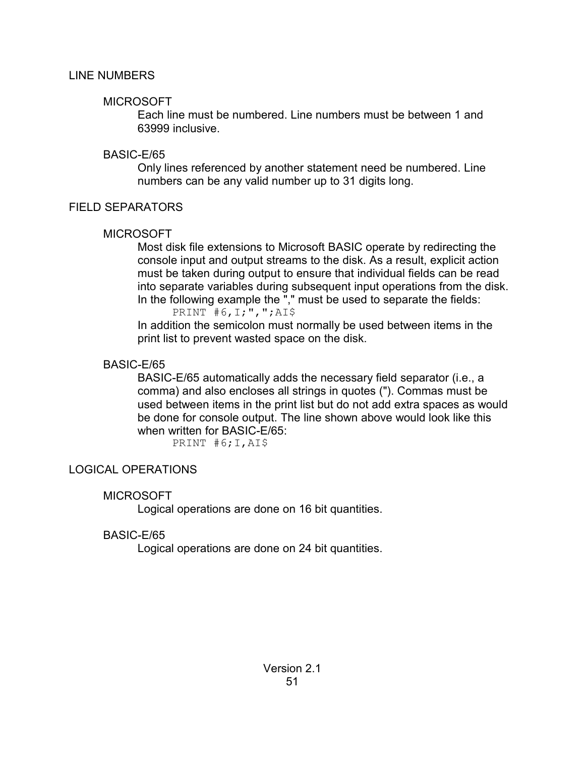### LINE NUMBERS

### **MICROSOFT**

Each line must be numbered. Line numbers must be between 1 and 63999 inclusive.

# BASIC-E/65

Only lines referenced by another statement need be numbered. Line numbers can be any valid number up to 31 digits long.

# FIELD SEPARATORS

# **MICROSOFT**

Most disk file extensions to Microsoft BASIC operate by redirecting the console input and output streams to the disk. As a result, explicit action must be taken during output to ensure that individual fields can be read into separate variables during subsequent input operations from the disk. In the following example the "," must be used to separate the fields: PRINT  $#6, 1;$ ", "; AI\$

In addition the semicolon must normally be used between items in the print list to prevent wasted space on the disk.

# BASIC-E/65

BASIC-E/65 automatically adds the necessary field separator (i.e., a comma) and also encloses all strings in quotes ("). Commas must be used between items in the print list but do not add extra spaces as would be done for console output. The line shown above would look like this when written for BASIC-E/65:

PRINT #6; I, AI\$

# LOGICAL OPERATIONS

# **MICROSOFT**

Logical operations are done on 16 bit quantities.

# BASIC-E/65

Logical operations are done on 24 bit quantities.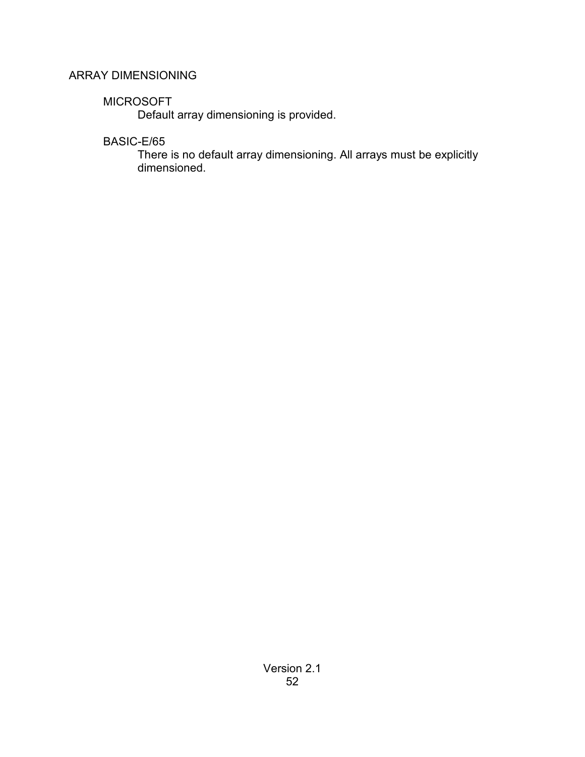# ARRAY DIMENSIONING

# **MICROSOFT**

Default array dimensioning is provided.

# BASIC-E/65

There is no default array dimensioning. All arrays must be explicitly dimensioned.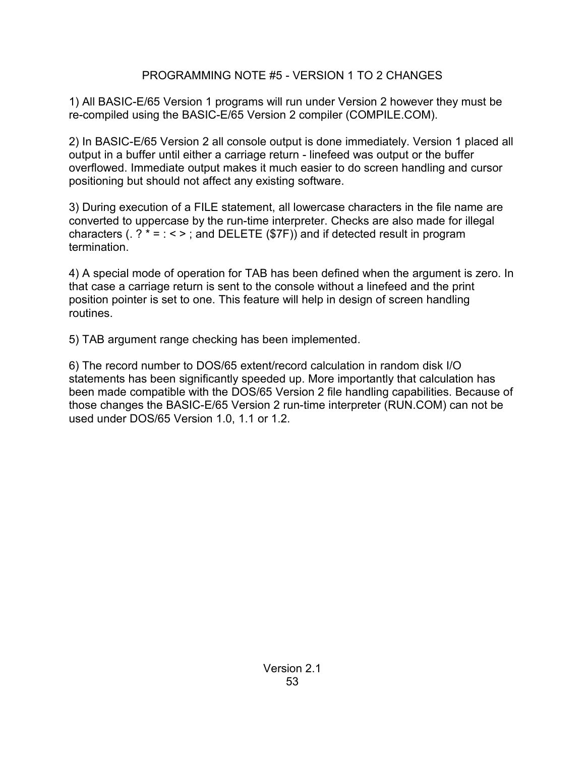### PROGRAMMING NOTE #5 - VERSION 1 TO 2 CHANGES

1) All BASIC-E/65 Version 1 programs will run under Version 2 however they must be re-compiled using the BASIC-E/65 Version 2 compiler (COMPILE.COM).

2) In BASIC-E/65 Version 2 all console output is done immediately. Version 1 placed all output in a buffer until either a carriage return - linefeed was output or the buffer overflowed. Immediate output makes it much easier to do screen handling and cursor positioning but should not affect any existing software.

3) During execution of a FILE statement, all lowercase characters in the file name are converted to uppercase by the run-time interpreter. Checks are also made for illegal characters (.  $? * = : < >$ ; and DELETE (\$7F)) and if detected result in program termination.

4) A special mode of operation for TAB has been defined when the argument is zero. In that case a carriage return is sent to the console without a linefeed and the print position pointer is set to one. This feature will help in design of screen handling routines.

5) TAB argument range checking has been implemented.

6) The record number to DOS/65 extent/record calculation in random disk I/O statements has been significantly speeded up. More importantly that calculation has been made compatible with the DOS/65 Version 2 file handling capabilities. Because of those changes the BASIC-E/65 Version 2 run-time interpreter (RUN.COM) can not be used under DOS/65 Version 1.0, 1.1 or 1.2.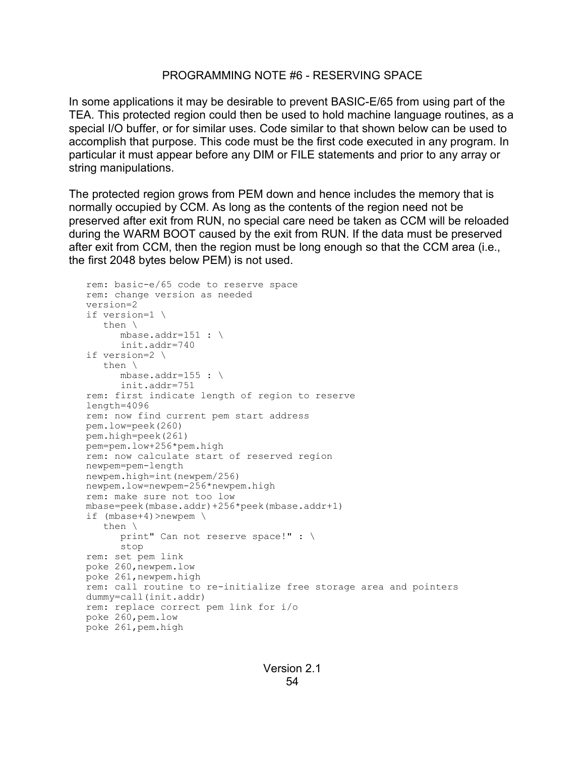#### PROGRAMMING NOTE #6 - RESERVING SPACE

In some applications it may be desirable to prevent BASIC-E/65 from using part of the TEA. This protected region could then be used to hold machine language routines, as a special I/O buffer, or for similar uses. Code similar to that shown below can be used to accomplish that purpose. This code must be the first code executed in any program. In particular it must appear before any DIM or FILE statements and prior to any array or string manipulations.

The protected region grows from PEM down and hence includes the memory that is normally occupied by CCM. As long as the contents of the region need not be preserved after exit from RUN, no special care need be taken as CCM will be reloaded during the WARM BOOT caused by the exit from RUN. If the data must be preserved after exit from CCM, then the region must be long enough so that the CCM area (i.e., the first 2048 bytes below PEM) is not used.

```
rem: basic-e/65 code to reserve space
rem: change version as needed
version=2
if version=1 \
   then \
     mbase.addr=151 : \setminusinit.addr=740
if version=2 \
   then \
     mbase.addr=155 : \
     init.addr=751
rem: first indicate length of region to reserve
length=4096
rem: now find current pem start address
pem.low=peek(260)
pem.high=peek(261)
pem=pem.low+256*pem.high
rem: now calculate start of reserved region
newpem=pem-length
newpem.high=int(newpem/256)
newpem.low=newpem-256*newpem.high
rem: make sure not too low
mbase=peek(mbase.addr)+256*peek(mbase.addr+1)
if (mbase+4)>newpem \
   then \
     print" Can not reserve space!" : \
     stop
rem: set pem link
poke 260,newpem.low
poke 261,newpem.high
rem: call routine to re-initialize free storage area and pointers
dummy=call(init.addr)
rem: replace correct pem link for i/o
poke 260,pem.low
poke 261,pem.high
```